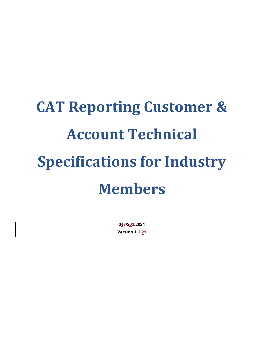# **CAT Reporting Customer & Account Technical Specifications for Industry Members**

**043/203/2021 Version 1.2.21**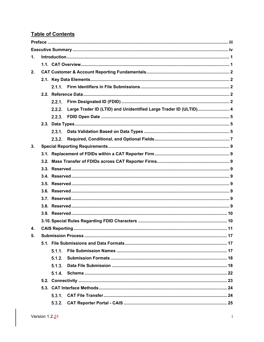# **Table of Contents**

| $\mathbf{1}$ . |  |        |                                                                   |  |  |  |  |  |
|----------------|--|--------|-------------------------------------------------------------------|--|--|--|--|--|
|                |  |        |                                                                   |  |  |  |  |  |
| 2.             |  |        |                                                                   |  |  |  |  |  |
|                |  |        |                                                                   |  |  |  |  |  |
|                |  | 2.1.1  |                                                                   |  |  |  |  |  |
|                |  |        |                                                                   |  |  |  |  |  |
|                |  | 2.2.1. |                                                                   |  |  |  |  |  |
|                |  | 2.2.2. | Large Trader ID (LTID) and Unidentified Large Trader ID (ULTID) 4 |  |  |  |  |  |
|                |  |        |                                                                   |  |  |  |  |  |
|                |  |        |                                                                   |  |  |  |  |  |
|                |  | 2.3.1. |                                                                   |  |  |  |  |  |
|                |  | 2.3.2. |                                                                   |  |  |  |  |  |
| 3.             |  |        |                                                                   |  |  |  |  |  |
|                |  |        |                                                                   |  |  |  |  |  |
|                |  |        |                                                                   |  |  |  |  |  |
|                |  |        |                                                                   |  |  |  |  |  |
|                |  |        |                                                                   |  |  |  |  |  |
|                |  |        |                                                                   |  |  |  |  |  |
|                |  |        |                                                                   |  |  |  |  |  |
|                |  |        |                                                                   |  |  |  |  |  |
|                |  |        |                                                                   |  |  |  |  |  |
|                |  |        |                                                                   |  |  |  |  |  |
|                |  |        |                                                                   |  |  |  |  |  |
| 4.             |  |        |                                                                   |  |  |  |  |  |
| 5.             |  |        |                                                                   |  |  |  |  |  |
|                |  |        |                                                                   |  |  |  |  |  |
|                |  | 511    |                                                                   |  |  |  |  |  |
|                |  | 5.1.2. |                                                                   |  |  |  |  |  |
|                |  | 5.1.3. |                                                                   |  |  |  |  |  |
|                |  | 5.1.4. |                                                                   |  |  |  |  |  |
|                |  |        |                                                                   |  |  |  |  |  |
|                |  |        |                                                                   |  |  |  |  |  |
|                |  | 5.3.1. |                                                                   |  |  |  |  |  |
|                |  | 5.3.2. |                                                                   |  |  |  |  |  |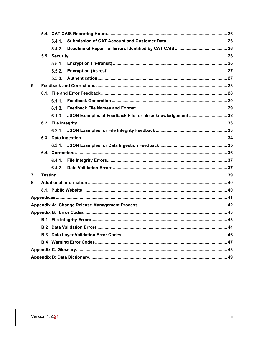|    | 541 |        |                                                                    |  |  |  |  |
|----|-----|--------|--------------------------------------------------------------------|--|--|--|--|
|    |     | 5.4.2. |                                                                    |  |  |  |  |
|    |     |        |                                                                    |  |  |  |  |
|    |     | 5.5.1. |                                                                    |  |  |  |  |
|    |     | 5.5.2. |                                                                    |  |  |  |  |
|    |     | 5.5.3. |                                                                    |  |  |  |  |
| 6. |     |        |                                                                    |  |  |  |  |
|    |     |        |                                                                    |  |  |  |  |
|    |     | 6.1.1  |                                                                    |  |  |  |  |
|    |     | 6.1.2. |                                                                    |  |  |  |  |
|    |     |        | 6.1.3. JSON Examples of Feedback File for file acknowledgement  32 |  |  |  |  |
|    |     |        |                                                                    |  |  |  |  |
|    |     |        |                                                                    |  |  |  |  |
|    |     |        |                                                                    |  |  |  |  |
|    |     |        |                                                                    |  |  |  |  |
|    |     |        |                                                                    |  |  |  |  |
|    |     | 6.4.1. |                                                                    |  |  |  |  |
|    |     | 6.4.2. |                                                                    |  |  |  |  |
| 7. |     |        |                                                                    |  |  |  |  |
| 8. |     |        |                                                                    |  |  |  |  |
|    |     |        |                                                                    |  |  |  |  |
|    |     |        |                                                                    |  |  |  |  |
|    |     |        |                                                                    |  |  |  |  |
|    |     |        |                                                                    |  |  |  |  |
|    |     |        |                                                                    |  |  |  |  |
|    | B.2 |        |                                                                    |  |  |  |  |
|    | B.3 |        |                                                                    |  |  |  |  |
|    |     |        |                                                                    |  |  |  |  |
|    |     |        |                                                                    |  |  |  |  |
|    |     |        |                                                                    |  |  |  |  |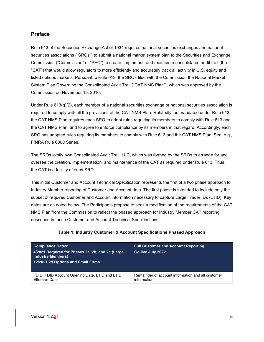#### <span id="page-3-0"></span>**Preface**

Rule 613 of the Securities Exchange Act of 1934 requires national securities exchanges and national securities associations ("SROs") to submit a national market system plan to the Securities and Exchange Commission ("Commission" or "SEC") to create, implement, and maintain a consolidated audit trail (the "CAT") that would allow regulators to more efficiently and accurately track all activity in U.S. equity and listed options markets. Pursuant to Rule 613, the SROs filed with the Commission the National Market System Plan Governing the Consolidated Audit Trail ("CAT NMS Plan"), which was approved by the Commission on November 15, 2016.

Under Rule  $613(q)(2)$ , each member of a national securities exchange or national securities association is required to comply with all the provisions of the CAT NMS Plan. Relatedly, as mandated under Rule 613, the CAT NMS Plan requires each SRO to adopt rules requiring its members to comply with Rule 613 and the CAT NMS Plan, and to agree to enforce compliance by its members in that regard. Accordingly, each SRO has adopted rules requiring its members to comply with Rule 613 and the CAT NMS Plan. See, e.g., FINRA Rule 6800 Series.

The SROs jointly own Consolidated Audit Trail, LLC, which was formed by the SROs to arrange for and oversee the creation, implementation, and maintenance of the CAT as required under Rule 613. Thus, the CAT is a facility of each SRO.

This initial Customer and Account Technical Specification represents the first of a two phase approach to Industry Member reporting of Customer and Account data. The first phase is intended to include only the subset of required Customer and Account information necessary to capture Large Trader IDs (LTID). Key dates are as noted below. The Participants propose to seek a modification of the requirements of the CAT NMS Plan from the Commission to reflect the phased approach for Industry Member CAT reporting described in these Customer and Account Technical Specifications.

| <b>Compliance Dates:</b><br>4/2021 Required for Phases 2a, 2b, and 2c (Large<br><b>Industry Members)</b><br>12/2021 2d Options and Small Firms | <b>Full Customer and Account Reporting</b><br>Go live July 2022 |
|------------------------------------------------------------------------------------------------------------------------------------------------|-----------------------------------------------------------------|
| FDID, FDID Account Opening Date, LTID and LTID                                                                                                 | Remainder of account information and all customer               |
| <b>Effective Date</b>                                                                                                                          | information                                                     |

#### **Table 1: Industry Customer & Account Specifications Phased Approach**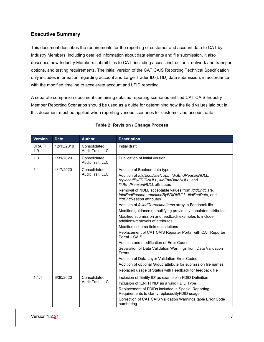# <span id="page-4-0"></span>**Executive Summary**

This document describes the requirements for the reporting of customer and account data to CAT by Industry Members, including detailed information about data elements and file submission. It also describes how Industry Members submit files to CAT, including access instructions, network and transport options, and testing requirements. The initial version of the CAT CAIS Reporting Technical Specification only includes information regarding account and Large Trader ID (LTID) data submission, in accordance with the modified timeline to accelerate account and LTID reporting.

A separate companion document containing detailed reporting scenarios entitled CAT CAIS Industry Member Reporting Scenarios should be used as a guide for determining how the field values laid out in this document must be applied when reporting various scenarios for customer and account data.

| <b>Version</b>      | <b>Date</b> | <b>Author</b>                    | <b>Description</b>                                                                                                                                                                                                                                                                                                                                                                                                                                                                                                                                                                                                                                                                                                                                                                                                                                                                                                                                                        |  |  |  |
|---------------------|-------------|----------------------------------|---------------------------------------------------------------------------------------------------------------------------------------------------------------------------------------------------------------------------------------------------------------------------------------------------------------------------------------------------------------------------------------------------------------------------------------------------------------------------------------------------------------------------------------------------------------------------------------------------------------------------------------------------------------------------------------------------------------------------------------------------------------------------------------------------------------------------------------------------------------------------------------------------------------------------------------------------------------------------|--|--|--|
| <b>DRAFT</b><br>1.0 | 12/13/2019  | Consolidated<br>Audit Trail, LLC | Initial draft                                                                                                                                                                                                                                                                                                                                                                                                                                                                                                                                                                                                                                                                                                                                                                                                                                                                                                                                                             |  |  |  |
| 1.0                 | 1/31/2020   | Consolidated<br>Audit Trail, LLC | Publication of initial version                                                                                                                                                                                                                                                                                                                                                                                                                                                                                                                                                                                                                                                                                                                                                                                                                                                                                                                                            |  |  |  |
| 1.1                 | 4/17/2020   | Consolidated<br>Audit Trail, LLC | Addition of Boolean data type<br>Addition of fdidEndDateNULL, fdidEndReasonNULL,<br>replacedByFDIDNULL, ItidEndDateNULL, and<br><b>ItidEndReasonNULL</b> attributes<br>Removal of NULL acceptable values from fdidEndDate,<br>fdidEndReason, replacedByFDIDNULL, ItidEndDate, and<br><i>ItidEndReason</i> attributes<br>Addition of failed Correction Items array in Feedback file<br>Modified guidance on nullifying previously populated attributes<br>Modified submission and feedback examples to include<br>additions/removals of attributes<br>Modified schema field descriptions<br>Replacement of CAT CAIS Reporter Portal with CAT Reporter<br>Portal - CAIS<br>Addition and modification of Error Codes<br>Separation of Data Validation Warnings from Data Validation<br>Errors<br>Addition of Data Layer Validation Error Codes<br>Addition of optional Group attribute for submission file names<br>Replaced usage of Status with Feedback for feedback file |  |  |  |
| 1.1.1               | 6/30/2020   | Consolidated<br>Audit Trail, LLC | Inclusion of 'Entity ID' as example in FDID Definition<br>Inclusion of 'ENTITYID' as a valid FDID Type<br>Replacement of FDIDs included in Special Reporting<br>Requirements to clarify replacedByFDID usage<br>Correction of CAT CAIS Validation Warnings table Error Code<br>numbering                                                                                                                                                                                                                                                                                                                                                                                                                                                                                                                                                                                                                                                                                  |  |  |  |

#### **Table 2: Revision / Change Process**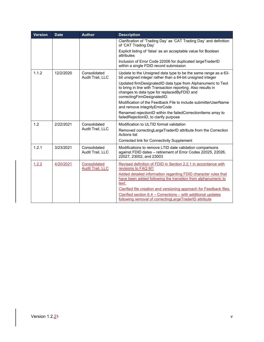| <b>Version</b> | <b>Date</b> | <b>Author</b>                           | <b>Description</b>                                                                                                                                                                                         |
|----------------|-------------|-----------------------------------------|------------------------------------------------------------------------------------------------------------------------------------------------------------------------------------------------------------|
|                |             |                                         | Clarification of 'Trading Day' as 'CAT Trading Day' and definition<br>of 'CAT Trading Day'                                                                                                                 |
|                |             |                                         | Explicit listing of 'false' as an acceptable value for Boolean<br>attributes                                                                                                                               |
|                |             |                                         | Inclusion of Error Code 22006 for duplicated largeTraderID<br>within a single FDID record submission                                                                                                       |
| 1.1.2          | 12/2/2020   | Consolidated<br>Audit Trail, LLC        | Update to the Unsigned data type to be the same range as a 63-<br>bit unsigned integer rather than a 64-bit unsigned integer                                                                               |
|                |             |                                         | Updated firmDesignatedID data type from Alphanumeric to Text<br>to bring in line with Transaction reporting. Also results in<br>changes to data type for replacedByFDID and<br>correctingFirmDesignatedID. |
|                |             |                                         | Modification of the Feedback File to include submitterUserName<br>and remove integrityErrorCode                                                                                                            |
|                |             |                                         | Renamed rejectionID within the failedCorrectionItems array to<br>failedRejectionID, to clarify purpose                                                                                                     |
| 1.2            | 2/22/2021   | Consolidated                            | Modification to ULTID format validation                                                                                                                                                                    |
|                |             | Audit Trail, LLC                        | Removed correctingLargeTraderID attribute from the Correction<br><b>Actions list</b>                                                                                                                       |
|                |             |                                         | Corrected link for Connectivity Supplement                                                                                                                                                                 |
| 1.2.1          | 3/23/2021   | Consolidated<br>Audit Trail, LLC        | Modifications to remove LTID date validation comparisons<br>against FDID dates - retirement of Error Codes 22025, 22026,<br>22027, 23002, and 23003                                                        |
| 1.2.2          | 4/20/2021   | Consolidated<br><b>Audit Trail, LLC</b> | Revised definition of FDID in Section 2.2.1 in accordance with<br>revisions to FAQ M1                                                                                                                      |
|                |             |                                         | Added detailed information regarding FDID character rules that<br>have been added following the transition from alphanumeric to<br>text.                                                                   |
|                |             |                                         | Clarified file creation and versioning approach for Feedback files.                                                                                                                                        |
|                |             |                                         | Clarified section 6.4 - Corrections - with additional updates<br>following removal of correcting Large TraderID attribute                                                                                  |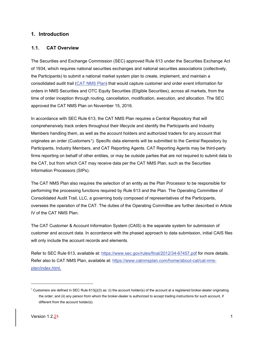#### <span id="page-6-0"></span>**1. Introduction**

#### <span id="page-6-1"></span>**1.1. CAT Overview**

The Securities and Exchange Commission (SEC) approved Rule 613 under the Securities Exchange Act of 1934, which requires national securities exchanges and national securities associations (collectively, the Participants) to submit a national market system plan to create, implement, and maintain a consolidated audit trail [\(CAT NMS Plan\)](https://www.catnmsplan.com/wp-content/uploads/2017/03/CAT-NMS-Plan-Current-as-of-7.24.17.pdf) that would capture customer and order event information for orders in NMS Securities and OTC Equity Securities (Eligible Securities), across all markets, from the time of order inception through routing, cancellation, modification, execution, and allocation. The SEC approved the CAT NMS Plan on November 15, 2016.

In accordance with SEC Rule 613, the CAT NMS Plan requires a Central Repository that will comprehensively track orders throughout their lifecycle and identify the Participants and Industry Members handling them, as well as the account holders and authorized traders for any account that originates an order (Customers[1\)](#page-6-2). Specific data elements will be submitted to the Central Repository by Participants, Industry Members, and CAT Reporting Agents. CAT Reporting Agents may be third-party firms reporting on behalf of other entities, or may be outside parties that are not required to submit data to the CAT, but from which CAT may receive data per the CAT NMS Plan, such as the Securities Information Processors (SIPs).

The CAT NMS Plan also requires the selection of an entity as the Plan Processor to be responsible for performing the processing functions required by Rule 613 and the Plan. The Operating Committee of Consolidated Audit Trail, LLC, a governing body composed of representatives of the Participants, oversees the operation of the CAT. The duties of the Operating Committee are further described in Article IV of the CAT NMS Plan.

The CAT Customer & Account Information System (CAIS) is the separate system for submission of customer and account data. In accordance with the phased approach to data submission, initial CAIS files will only include the account records and elements.

Refer to SEC Rule 613, available at:<https://www.sec.gov/rules/final/2012/34-67457.pdf> for more details. Refer also to CAT NMS Plan, available at: [https://www.catnmsplan.com/home/about-cat/cat-nms](https://www.catnmsplan.com/home/about-cat/cat-nms-plan/index.html)[plan/index.html.](https://www.catnmsplan.com/home/about-cat/cat-nms-plan/index.html)

<span id="page-6-2"></span><sup>&</sup>lt;sup>1</sup> Customers are defined in SEC Rule 613(j)(3) as: (i) the account holder(s) of the account at a registered broker-dealer originating the order; and (ii) any person from whom the broker-dealer is authorized to accept trading instructions for such account, if different from the account holder(s).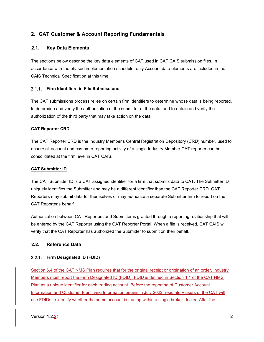# <span id="page-7-0"></span>**2. CAT Customer & Account Reporting Fundamentals**

#### <span id="page-7-1"></span>**2.1. Key Data Elements**

The sections below describe the key data elements of CAT used in CAT CAIS submission files. In accordance with the phased implementation schedule, only Account data elements are included in the CAIS Technical Specification at this time.

#### <span id="page-7-2"></span>**Firm Identifiers in File Submissions**

The CAT submissions process relies on certain firm identifiers to determine whose data is being reported, to determine and verify the authorization of the submitter of the data, and to obtain and verify the authorization of the third party that may take action on the data.

#### **CAT Reporter CRD**

The CAT Reporter CRD is the Industry Member's Central Registration Depository (CRD) number, used to ensure all account and customer reporting activity of a single Industry Member CAT reporter can be consolidated at the firm level in CAT CAIS.

#### **CAT Submitter ID**

The CAT Submitter ID is a CAT assigned identifier for a firm that submits data to CAT. The Submitter ID uniquely identifies the Submitter and may be a different identifier than the CAT Reporter CRD. CAT Reporters may submit data for themselves or may authorize a separate Submitter firm to report on the CAT Reporter's behalf.

Authorization between CAT Reporters and Submitter is granted through a reporting relationship that will be entered by the CAT Reporter using the CAT Reporter Portal. When a file is received, CAT CAIS will verify that the CAT Reporter has authorized the Submitter to submit on their behalf.

#### <span id="page-7-3"></span>**2.2. Reference Data**

#### <span id="page-7-4"></span>**Firm Designated ID (FDID)**

Section 6.4 of the CAT NMS Plan requires that for the original receipt or origination of an order, Industry Members must report the Firm Designated ID (FDID). FDID is defined in Section 1.1 of the CAT NMS Plan as a unique identifier for each trading account. Before the reporting of Customer Account Information and Customer Identifying Information begins in July 2022, regulatory users of the CAT will use FDIDs to identify whether the same account is trading within a single broker-dealer. After the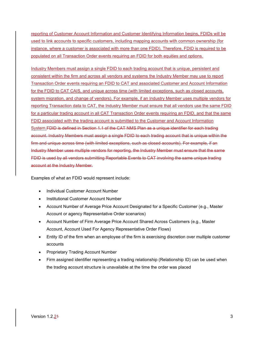reporting of Customer Account Information and Customer Identifying Information begins, FDIDs will be used to link accounts to specific customers, including mapping accounts with common ownership (for instance, where a customer is associated with more than one FDID). Therefore, FDID is required to be populated on all Transaction Order events requiring an FDID for both equities and options.

Industry Members must assign a single FDID to each trading account that is unique, persistent and consistent within the firm and across all vendors and systems the Industry Member may use to report Transaction Order events requiring an FDID to CAT and associated Customer and Account Information for the FDID to CAT CAIS, and unique across time (with limited exceptions, such as closed accounts, system migration, and change of vendors). For example, if an Industry Member uses multiple vendors for reporting Transaction data to CAT, the Industry Member must ensure that all vendors use the same FDID for a particular trading account in all CAT Transaction Order events requiring an FDID, and that the same FDID associated with the trading account is submitted to the Customer and Account Information System.FDID is defined in Section 1.1 of the CAT NMS Plan as a unique identifier for each trading account. Industry Members must assign a single FDID to each trading account that is unique within the firm and unique across time (with limited exceptions, such as closed accounts). For example, if an Industry Member uses multiple vendors for reporting, the Industry Member must ensure that the same FDID is used by all vendors submitting Reportable Events to CAT involving the same unique trading account at the Industry Member.

Examples of what an FDID would represent include:

- Individual Customer Account Number
- Institutional Customer Account Number
- Account Number of Average Price Account Designated for a Specific Customer (e.g., Master Account or agency Representative Order scenarios)
- Account Number of Firm Average Price Account Shared Across Customers (e.g., Master Account, Account Used For Agency Representative Order Flows)
- Entity ID of the firm when an employee of the firm is exercising discretion over multiple customer accounts
- Proprietary Trading Account Number
- Firm assigned identifier representing a trading relationship (Relationship ID) can be used when the trading account structure is unavailable at the time the order was placed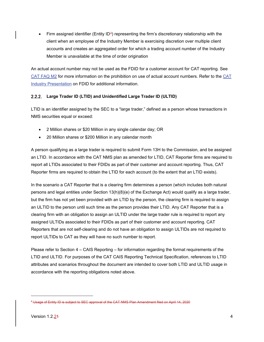• Firm assigned identifier (Entity  $ID^2$  $ID^2$ ) representing the firm's discretionary relationship with the client when an employee of the Industry Member is exercising discretion over multiple client accounts and creates an aggregated order for which a trading account number of the Industry Member is unavailable at the time of order origination

An actual account number may not be used as the FDID for a customer account for CAT reporting. See [CAT FAQ M2](https://catnmsplan.com/faq/index.html#faqFDID) for more information on the prohibition on use of actual account numbers. Refer to the [CAT](https://catnmsplan.com/wp-content/uploads/2019/04/FDID-Guidance-April-2019.pdf)  Industry Presentation [on FDID for additional information.](https://catnmsplan.com/wp-content/uploads/2019/04/FDID-Guidance-April-2019.pdf)

#### <span id="page-9-0"></span>**Large Trader ID (LTID) and Unidentified Large Trader ID (ULTID)**

LTID is an identifier assigned by the SEC to a "large trader," defined as a person whose transactions in NMS securities equal or exceed:

- 2 Million shares or \$20 Million in any single calendar day; OR
- 20 Million shares or \$200 Million in any calendar month

A person qualifying as a large trader is required to submit Form 13H to the Commission, and be assigned an LTID. In accordance with the CAT NMS plan as amended for LTID, CAT Reporter firms are required to report all LTIDs associated to their FDIDs as part of their customer and account reporting. Thus, CAT Reporter firms are required to obtain the LTID for each account (to the extent that an LTID exists).

In the scenario a CAT Reporter that is a clearing firm determines a person (which includes both natural persons and legal entities under Section 13(h)(8)(e) of the Exchange Act) would qualify as a large trader, but the firm has not yet been provided with an LTID by the person, the clearing firm is required to assign an ULTID to the person until such time as the person provides their LTID. Any CAT Reporter that is a clearing firm with an obligation to assign an ULTID under the large trader rule is required to report any assigned ULTIDs associated to their FDIDs as part of their customer and account reporting. CAT Reporters that are not self-clearing and do not have an obligation to assign ULTIDs are not required to report ULTIDs to CAT as they will have no such number to report.

Please refer to Section 4 – CAIS Reporting – for information regarding the format requirements of the LTID and ULTID. For purposes of the CAT CAIS Reporting Technical Specification, references to LTID attributes and scenarios throughout the document are intended to cover both LTID and ULTID usage in accordance with the reporting obligations noted above.

<span id="page-9-1"></span><sup>&</sup>lt;sup>2</sup> Usage of Entity ID is subject to SEC approval of the CAT NMS Plan Amendment filed on April 14, 2020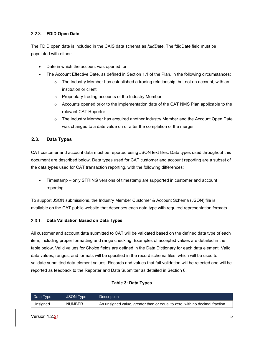#### <span id="page-10-0"></span>**FDID Open Date**

The FDID open date is included in the CAIS data schema as *fdidDate*. The fdidDate field must be populated with either:

- Date in which the account was opened, or
- The Account Effective Date, as defined in Section 1.1 of the Plan, in the following circumstances:
	- $\circ$  The Industry Member has established a trading relationship, but not an account, with an institution or client
	- o Proprietary trading accounts of the Industry Member
	- o Accounts opened prior to the implementation date of the CAT NMS Plan applicable to the relevant CAT Reporter
	- $\circ$  The Industry Member has acquired another Industry Member and the Account Open Date was changed to a date value on or after the completion of the merger

#### <span id="page-10-1"></span>**2.3. Data Types**

CAT customer and account data must be reported using JSON text files. Data types used throughout this document are described below. Data types used for CAT customer and account reporting are a subset of the data types used for CAT transaction reporting, with the following differences:

• Timestamp – only STRING versions of timestamp are supported in customer and account reporting

To support JSON submissions, the [Industry](https://catnmsplan.com/technical-specifications/index.html) Member Customer & Account Schema (JSON) file is available on the CAT public website that describes each data type with required representation formats.

#### <span id="page-10-2"></span>**Data Validation Based on Data Types**

All customer and account data submitted to CAT will be validated based on the defined data type of each item, including proper formatting and range checking. Examples of accepted values are detailed in the table below. Valid values for Choice fields are defined in the Data Dictionary for each data element. Valid data values, ranges, and formats will be specified in the record schema files, which will be used to validate submitted data element values. Records and values that fail validation will be rejected and will be reported as feedback to the Reporter and Data Submitter as detailed in Section 6.

#### **Table 3: Data Types**

| Data Type | JSON Type     | Description <sup>1</sup>                                                   |
|-----------|---------------|----------------------------------------------------------------------------|
| Unsigned  | <b>NUMBER</b> | An unsigned value, greater than or equal to zero, with no decimal fraction |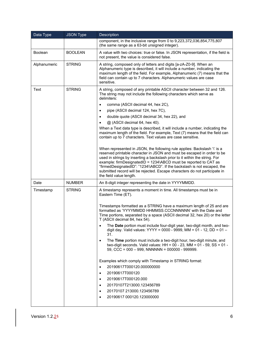| Data Type      | <b>JSON Type</b> | Description                                                                                                                                                                                                                                                                                                                                                                                                                                                                                 |  |  |  |  |  |
|----------------|------------------|---------------------------------------------------------------------------------------------------------------------------------------------------------------------------------------------------------------------------------------------------------------------------------------------------------------------------------------------------------------------------------------------------------------------------------------------------------------------------------------------|--|--|--|--|--|
|                |                  | component, in the inclusive range from 0 to 9,223,372,036,854,775,807<br>(the same range as a 63-bit unsigned integer).                                                                                                                                                                                                                                                                                                                                                                     |  |  |  |  |  |
| <b>Boolean</b> | BOOLEAN          | A value with two choices: true or false. In JSON representation, if the field is<br>not present, the value is considered false.                                                                                                                                                                                                                                                                                                                                                             |  |  |  |  |  |
| Alphanumeric   | <b>STRING</b>    | A string, composed only of letters and digits [a-zA-Z0-9]. When an<br>Alphanumeric type is described, it will include a number, indicating the<br>maximum length of the field. For example, Alphanumeric (7) means that the<br>field can contain up to 7 characters. Alphanumeric values are case<br>sensitive.                                                                                                                                                                             |  |  |  |  |  |
| Text           | <b>STRING</b>    | A string, composed of any printable ASCII character between 32 and 126.<br>The string may not include the following characters which serve as<br>delimiters:                                                                                                                                                                                                                                                                                                                                |  |  |  |  |  |
|                |                  | comma (ASCII decimal 44, hex 2C),<br>$\bullet$                                                                                                                                                                                                                                                                                                                                                                                                                                              |  |  |  |  |  |
|                |                  | pipe (ASCII decimal 124, hex 7C),<br>$\bullet$                                                                                                                                                                                                                                                                                                                                                                                                                                              |  |  |  |  |  |
|                |                  | double quote (ASCII decimal 34, hex 22), and<br>$\bullet$                                                                                                                                                                                                                                                                                                                                                                                                                                   |  |  |  |  |  |
|                |                  | @ (ASCII decimal 64, hex 40).                                                                                                                                                                                                                                                                                                                                                                                                                                                               |  |  |  |  |  |
|                |                  | When a Text data type is described, it will include a number, indicating the<br>maximum length of the field. For example, Text (7) means that the field can<br>contain up to 7 characters. Text values are case sensitive.                                                                                                                                                                                                                                                                  |  |  |  |  |  |
|                |                  | When represented in JSON, the following rule applies: Backslash '\' is a<br>reserved printable character in JSON and must be escaped in order to be<br>used in strings by inserting a backslash prior to it within the string. For<br>example: firmDesignatedID = 1234\ABCD must be reported to CAT as<br>"firmedDesignatedID": "1234\\ABCD". If the backslash is not escaped, the<br>submitted record will be rejected. Escape characters do not participate in<br>the field value length. |  |  |  |  |  |
| Date           | <b>NUMBER</b>    | An 8-digit integer representing the date in YYYYMMDD.                                                                                                                                                                                                                                                                                                                                                                                                                                       |  |  |  |  |  |
| Timestamp      | <b>STRING</b>    | A timestamp represents a moment in time. All timestamps must be in<br>Eastern Time (ET).                                                                                                                                                                                                                                                                                                                                                                                                    |  |  |  |  |  |
|                |                  | Timestamps formatted as a STRING have a maximum length of 25 and are<br>formatted as 'YYYYMMDD HHMMSS.CCCNNNNNN' with the Date and<br>Time portions, separated by a space (ASCII decimal 32, hex 20) or the letter<br>T (ASCII decimal 84, hex 54).                                                                                                                                                                                                                                         |  |  |  |  |  |
|                |                  | The Date portion must include four-digit year, two-digit month, and two-<br>digit day. Valid values: YYYY = 0000 - 9999, MM = 01 - 12, DD = 01 -<br>31.                                                                                                                                                                                                                                                                                                                                     |  |  |  |  |  |
|                |                  | The Time portion must include a two-digit hour, two-digit minute, and<br>$\bullet$<br>two-digit seconds. Valid values: $HH = 00 - 23$ , MM = 01 - 59, SS = 01 -<br>59, CCC = $000 - 999$ , NNNNNN = $000000 - 999999$ .                                                                                                                                                                                                                                                                     |  |  |  |  |  |
|                |                  | Examples which comply with Timestamp in STRING format:                                                                                                                                                                                                                                                                                                                                                                                                                                      |  |  |  |  |  |
|                |                  | 20190617T000120.000000000<br>$\bullet$                                                                                                                                                                                                                                                                                                                                                                                                                                                      |  |  |  |  |  |
|                |                  | 20190617T000120<br>$\bullet$                                                                                                                                                                                                                                                                                                                                                                                                                                                                |  |  |  |  |  |
|                |                  | 20190617T000120.000<br>$\bullet$                                                                                                                                                                                                                                                                                                                                                                                                                                                            |  |  |  |  |  |
|                |                  | 20170107T213000.123456789<br>$\bullet$                                                                                                                                                                                                                                                                                                                                                                                                                                                      |  |  |  |  |  |
|                |                  | 20170107 213000.123456789<br>$\bullet$                                                                                                                                                                                                                                                                                                                                                                                                                                                      |  |  |  |  |  |
|                |                  | 20190617 000120.123000000<br>$\bullet$                                                                                                                                                                                                                                                                                                                                                                                                                                                      |  |  |  |  |  |
|                |                  |                                                                                                                                                                                                                                                                                                                                                                                                                                                                                             |  |  |  |  |  |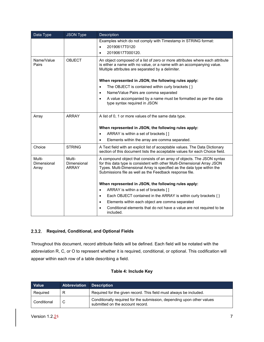| Data Type                      | <b>JSON Type</b>                      | Description                                                                                                                                                                                                                                                                               |  |  |  |  |
|--------------------------------|---------------------------------------|-------------------------------------------------------------------------------------------------------------------------------------------------------------------------------------------------------------------------------------------------------------------------------------------|--|--|--|--|
|                                |                                       | Examples which do not comply with Timestamp in STRING format:                                                                                                                                                                                                                             |  |  |  |  |
|                                |                                       | 20190617T0120<br>$\bullet$                                                                                                                                                                                                                                                                |  |  |  |  |
|                                |                                       | 20190617T000120.                                                                                                                                                                                                                                                                          |  |  |  |  |
| Name/Value<br>Pairs            | <b>OBJECT</b>                         | An object composed of a list of zero or more attributes where each attribute<br>is either a name with no value, or a name with an accompanying value.<br>Multiple attributes are separated by a delimiter.                                                                                |  |  |  |  |
|                                |                                       | When represented in JSON, the following rules apply:                                                                                                                                                                                                                                      |  |  |  |  |
|                                |                                       | The OBJECT is contained within curly brackets $\{ \}$<br>$\bullet$                                                                                                                                                                                                                        |  |  |  |  |
|                                |                                       | Name/Value Pairs are comma separated<br>$\bullet$                                                                                                                                                                                                                                         |  |  |  |  |
|                                |                                       | A value accompanied by a name must be formatted as per the data<br>$\bullet$<br>type syntax required in JSON                                                                                                                                                                              |  |  |  |  |
| Array                          | <b>ARRAY</b>                          | A list of 0, 1 or more values of the same data type.                                                                                                                                                                                                                                      |  |  |  |  |
|                                |                                       | When represented in JSON, the following rules apply:                                                                                                                                                                                                                                      |  |  |  |  |
|                                |                                       | ARRAY is within a set of brackets []<br>$\bullet$                                                                                                                                                                                                                                         |  |  |  |  |
|                                |                                       | Elements within the array are comma separated.<br>$\bullet$                                                                                                                                                                                                                               |  |  |  |  |
| Choice                         | <b>STRING</b>                         | A Text field with an explicit list of acceptable values. The Data Dictionary<br>section of this document lists the acceptable values for each Choice field.                                                                                                                               |  |  |  |  |
| Multi-<br>Dimensional<br>Array | Multi-<br>Dimensional<br><b>ARRAY</b> | A compound object that consists of an array of objects. The JSON syntax<br>for this data type is consistent with other Multi-Dimensional Array JSON<br>Types. Multi-Dimensional Array is specified as the data type within the<br>Submissions file as well as the Feedback response file. |  |  |  |  |
|                                |                                       | When represented in JSON, the following rules apply:                                                                                                                                                                                                                                      |  |  |  |  |
|                                |                                       | ARRAY is within a set of brackets []<br>$\bullet$                                                                                                                                                                                                                                         |  |  |  |  |
|                                |                                       | Each OBJECT contained in the ARRAY is within curly brackets { }<br>$\bullet$                                                                                                                                                                                                              |  |  |  |  |
|                                |                                       | Elements within each object are comma separated<br>$\bullet$                                                                                                                                                                                                                              |  |  |  |  |
|                                |                                       | Conditional elements that do not have a value are not required to be<br>$\bullet$<br>included.                                                                                                                                                                                            |  |  |  |  |

## <span id="page-12-0"></span>**Required, Conditional, and Optional Fields**

Throughout this document, record attribute fields will be defined. Each field will be notated with the abbreviation R, C, or O to represent whether it is required, conditional, or optional. This codification will appear within each row of a table describing a field.

#### **Table 4: Include Key**

| Value       | <b>Abbreviation Description</b> |                                                                                                            |
|-------------|---------------------------------|------------------------------------------------------------------------------------------------------------|
| Required    | R                               | Required for the given record. This field must always be included.                                         |
| Conditional | C                               | Conditionally required for the submission, depending upon other values<br>submitted on the account record. |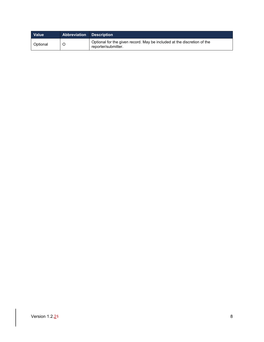| <b>Value</b> | <b>Abbreviation Description</b> |                                                                                                |
|--------------|---------------------------------|------------------------------------------------------------------------------------------------|
| l Optional   |                                 | Optional for the given record. May be included at the discretion of the<br>reporter/submitter. |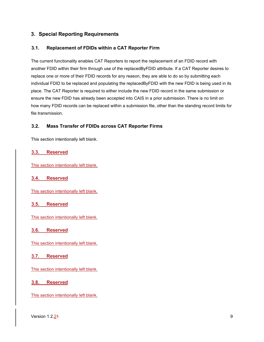#### <span id="page-14-0"></span>**3. Special Reporting Requirements**

#### <span id="page-14-1"></span>**3.1. Replacement of FDIDs within a CAT Reporter Firm**

The current functionality enables CAT Reporters to report the replacement of an FDID record with another FDID within their firm through use of the replacedByFDID attribute. If a CAT Reporter desires to replace one or more of their FDID records for any reason, they are able to do so by submitting each individual FDID to be replaced and populating the replacedByFDID with the new FDID is being used in its place. The CAT Reporter is required to either include the new FDID record in the same submission or ensure the new FDID has already been accepted into CAIS in a prior submission. There is no limit on how many FDID records can be replaced within a submission file, other than the standing record limits for file transmission.

#### <span id="page-14-2"></span>**3.2. Mass Transfer of FDIDs across CAT Reporter Firms**

This section intentionally left blank.

#### <span id="page-14-3"></span>**3.3. Reserved**

This section intentionally left blank.

#### <span id="page-14-4"></span>**3.4. Reserved**

This section intentionally left blank.

#### <span id="page-14-5"></span>**3.5. Reserved**

This section intentionally left blank.

#### <span id="page-14-6"></span>**3.6. Reserved**

This section intentionally left blank.

#### <span id="page-14-7"></span>**3.7. Reserved**

This section intentionally left blank.

#### <span id="page-14-8"></span>**3.8. Reserved**

This section intentionally left blank.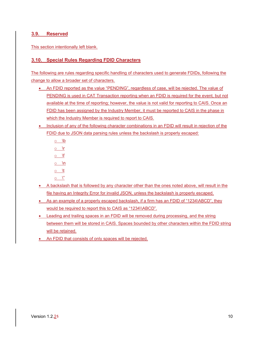#### <span id="page-15-0"></span>**3.9. Reserved**

This section intentionally left blank.

#### <span id="page-15-1"></span>**3.10. Special Rules Regarding FDID Characters**

The following are rules regarding specific handling of characters used to generate FDIDs, following the change to allow a broader set of characters.

- An FDID reported as the value "PENDING", regardless of case, will be rejected. The value of PENDING is used in CAT Transaction reporting when an FDID is required for the event, but not available at the time of reporting; however, the value is not valid for reporting to CAIS. Once an FDID has been assigned by the Industry Member, it must be reported to CAIS in the phase in which the Industry Member is required to report to CAIS.
- Inclusion of any of the following character combinations in an FDID will result in rejection of the FDID due to JSON data parsing rules unless the backslash is properly escaped:
	- o \b  $\circ$  \r  $\circ$  \f  $\circ$  \n  $\circ$  \t  $\circ \quad '$
- A backslash that is followed by any character other than the ones noted above, will result in the file having an Integrity Error for invalid JSON, unless the backslash is properly escaped.
- As an example of a properly escaped backslash, if a firm has an FDID of "1234\ABCD", they would be required to report this to CAIS as "1234\\ABCD".
- Leading and trailing spaces in an FDID will be removed during processing, and the string between them will be stored in CAIS. Spaces bounded by other characters within the FDID string will be retained.
- An FDID that consists of only spaces will be rejected.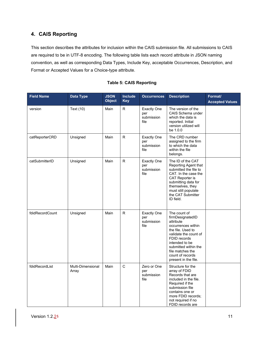# <span id="page-16-0"></span>**4. CAIS Reporting**

This section describes the attributes for inclusion within the CAIS submission file. All submissions to CAIS are required to be in UTF-8 encoding. The following table lists each record attribute in JSON naming convention, as well as corresponding Data Types, Include Key, acceptable Occurrences, Description, and Format or Accepted Values for a Choice-type attribute.

| <b>Field Name</b> | <b>Data Type</b>           | <b>JSON</b><br><b>Object</b> | Include<br><b>Key</b> | <b>Occurrences</b>                              | <b>Description</b>                                                                                                                                                                                                                          | Format/<br><b>Accepted Values</b> |
|-------------------|----------------------------|------------------------------|-----------------------|-------------------------------------------------|---------------------------------------------------------------------------------------------------------------------------------------------------------------------------------------------------------------------------------------------|-----------------------------------|
| version           | Text (10)                  | Main                         | R                     | <b>Exactly One</b><br>per<br>submission<br>file | The version of the<br>CAIS Schema under<br>which the data is<br>reported. Initial<br>version utilized will<br>be 1.0.0                                                                                                                      |                                   |
| catReporterCRD    | Unsigned                   | Main                         | R.                    | <b>Exactly One</b><br>per<br>submission<br>file | The CRD number<br>assigned to the firm<br>to which the data<br>within the file<br>belongs.                                                                                                                                                  |                                   |
| catSubmitterID    | Unsigned                   | Main                         | R.                    | <b>Exactly One</b><br>per<br>submission<br>file | The ID of the CAT<br>Reporting Agent that<br>submitted the file to<br>CAT. In the case the<br>CAT Reporter is<br>submitting data for<br>themselves, they<br>must still populate<br>the CAT Submitter<br>ID field.                           |                                   |
| fdidRecordCount   | Unsigned                   | Main                         | R                     | <b>Exactly One</b><br>per<br>submission<br>file | The count of<br>firmDesignatedID<br>attribute<br>occurrences within<br>the file. Used to<br>validate the count of<br>FDID records<br>intended to be<br>submitted within the<br>file matches the<br>count of records<br>present in the file. |                                   |
| fdidRecordList    | Multi-Dimensional<br>Array | Main                         | $\mathsf{C}$          | Zero or One<br>per<br>submission<br>file        | Structure for the<br>array of FDID<br>Records that are<br>included in the file.<br>Required if the<br>submission file<br>contains one or<br>more FDID records;<br>not required if no<br>FDID records are                                    |                                   |

#### **Table 5: CAIS Reporting**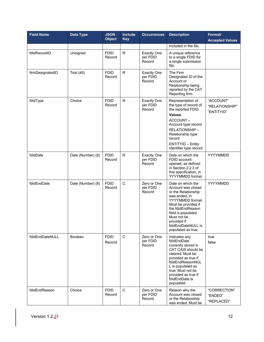| <b>Field Name</b> | <b>Data Type</b>  | <b>JSON</b><br><b>Object</b> | <b>Include</b><br><b>Key</b> | <b>Occurrences</b>                       | <b>Description</b>                                                                                                                                                                                                                               | Format/<br><b>Accepted Values</b>         |
|-------------------|-------------------|------------------------------|------------------------------|------------------------------------------|--------------------------------------------------------------------------------------------------------------------------------------------------------------------------------------------------------------------------------------------------|-------------------------------------------|
|                   |                   |                              |                              |                                          | included in the file.                                                                                                                                                                                                                            |                                           |
| fdidRecordID      | Unsigned          | <b>FDID</b><br>Record        | $\mathsf R$                  | <b>Exactly One</b><br>per FDID<br>Record | A unique reference<br>to a single FDID for<br>a single submission<br>file.                                                                                                                                                                       |                                           |
| firmDesignatedID  | Text (40)         | <b>FDID</b><br>Record        | $\mathsf{R}$                 | <b>Exactly One</b><br>per FDID<br>Record | The Firm<br>Designated ID of the<br>Account or<br>Relationship being<br>reported by the CAT<br>Reporting firm.                                                                                                                                   |                                           |
| fdidType          | Choice            | <b>FDID</b><br>Record        | $\mathsf{R}$                 | <b>Exactly One</b><br>per FDID<br>Record | Representation of<br>the type of record of<br>the reported FDID.<br>Values:<br>ACCOUNT-<br>Account type record<br>RELATIONSHIP-<br>Relationship type<br>record<br>ENTITYID - Entity<br>Identifier type record                                    | "ACCOUNT"<br>"RELATIONSHIP"<br>"ENTITYID" |
| fdidDate          | Date (Number) (8) | <b>FDID</b><br>Record        | $\mathsf{R}$                 | <b>Exactly One</b><br>per FDID<br>Record | Date on which the<br>FDID account<br>opened, as defined<br>in Section 2.2.3 of<br>this specification, in<br>YYYYMMDD format.                                                                                                                     | YYYYMMDD                                  |
| fdidEndDate       | Date (Number) (8) | <b>FDID</b><br>Record        | $\mathsf C$                  | Zero or One<br>per FDID<br>Record        | Date on which the<br>Account was closed<br>or the Relationship<br>was ended, in<br>YYYYMMDD format.<br>Must be provided if<br>the fdidEndReason<br>field is populated.<br>Must not be<br>provided if<br>fdidEndDateNULL is<br>populated as true. | YYYYMMDD                                  |
| fdidEndDateNULL   | <b>Boolean</b>    | <b>FDID</b><br>Record        | $\mathbf C$                  | Zero or One<br>per FDID<br>Record        | Indicates any<br>fdidEndDate<br>currently stored in<br>CAT CAIS should be<br>cleared. Must be<br>provided as true if<br>fdidEndReasonNUL<br>L is populated as<br>true. Must not be<br>provided as true if<br>fdidEndDate is<br>populated.        | true<br>false                             |
| fdidEndReason     | Choice            | <b>FDID</b><br>Record        | $\mathbf C$                  | Zero or One<br>per FDID<br>Record        | Reason why the<br>Account was closed<br>or the Relationship<br>was ended. Must be                                                                                                                                                                | "CORRECTION"<br>"ENDED"<br>"REPLACED"     |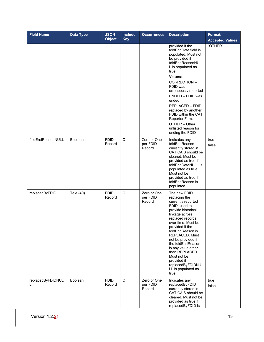| <b>Field Name</b>      | <b>Data Type</b> | <b>JSON</b><br><b>Object</b> | <b>Include</b><br><b>Key</b> | <b>Occurrences</b>                | <b>Description</b>                                                                                                                                                                                                                                                                                                                                                                  | Format/<br><b>Accepted Values</b> |
|------------------------|------------------|------------------------------|------------------------------|-----------------------------------|-------------------------------------------------------------------------------------------------------------------------------------------------------------------------------------------------------------------------------------------------------------------------------------------------------------------------------------------------------------------------------------|-----------------------------------|
|                        |                  |                              |                              |                                   | provided if the<br>fdidEndDate field is<br>populated. Must not<br>be provided if<br>fdidEndReasonNUL<br>L is populated as<br>true.<br>Values:<br>CORRECTION-<br>FDID was<br>erroneously reported<br>ENDED - FDID was<br>ended<br>REPLACED - FDID<br>replaced by another<br>FDID within the CAT<br>Reporter Firm.<br>OTHER - Other<br>unlisted reason for<br>ending the FDID         | "OTHER"                           |
| fdidEndReasonNULL      | <b>Boolean</b>   | <b>FDID</b><br>Record        | $\mathbf C$                  | Zero or One<br>per FDID<br>Record | Indicates any<br>fdidEndReason<br>currently stored in<br>CAT CAIS should be<br>cleared. Must be<br>provided as true if<br>fdidEndDateNULL is<br>populated as true.<br>Must not be<br>provided as true if<br>fdidEndReason is<br>populated.                                                                                                                                          | true<br>false                     |
| replacedByFDID         | Text (40)        | <b>FDID</b><br>Record        | $\mathbf C$                  | Zero or One<br>per FDID<br>Record | The new FDID<br>replacing the<br>currently reported<br>FDID, used to<br>provide historical<br>linkage across<br>replaced records<br>over time. Must be<br>provided if the<br>fdidEndReason is<br>REPLACED. Must<br>not be provided if<br>the fdidEndReason<br>is any value other<br>than REPLACED.<br>Must not be<br>provided if<br>replacedByFDIDNU<br>LL is populated as<br>true. |                                   |
| replacedByFDIDNUL<br>L | Boolean          | <b>FDID</b><br>Record        | $\mathbf C$                  | Zero or One<br>per FDID<br>Record | Indicates any<br>replacedByFDID<br>currently stored in<br>CAT CAIS should be<br>cleared. Must not be<br>provided as true if<br>replacedByFDID is                                                                                                                                                                                                                                    | true<br>false                     |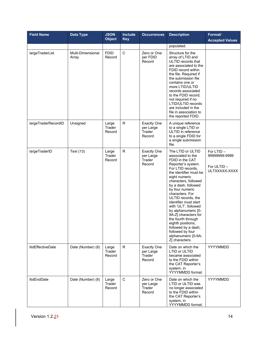| <b>Field Name</b>        | <b>Data Type</b>           | <b>JSON</b><br><b>Object</b> | Include<br><b>Key</b> | <b>Occurrences</b>                                  | <b>Description</b>                                                                                                                                                                                                                                                                                                                                                                                                                                                                        | Format/<br><b>Accepted Values</b>                           |
|--------------------------|----------------------------|------------------------------|-----------------------|-----------------------------------------------------|-------------------------------------------------------------------------------------------------------------------------------------------------------------------------------------------------------------------------------------------------------------------------------------------------------------------------------------------------------------------------------------------------------------------------------------------------------------------------------------------|-------------------------------------------------------------|
|                          |                            |                              |                       |                                                     | populated.                                                                                                                                                                                                                                                                                                                                                                                                                                                                                |                                                             |
| largeTraderList          | Multi-Dimensional<br>Array | <b>FDID</b><br>Record        | $\mathbf C$           | Zero or One<br>per FDID<br>Record                   | Structure for the<br>array of LTID and<br>ULTID records that<br>are associated to the<br>FDID record within<br>the file. Required if<br>the submission file<br>contains one or<br>more LTID/ULTID<br>records associated<br>to the FDID record;<br>not required if no<br>LTID/ULTID records<br>are included in the<br>file in association to<br>the reported FDID.                                                                                                                         |                                                             |
| largeTraderRecordID      | Unsigned                   | Large<br>Trader<br>Record    | R                     | <b>Exactly One</b><br>per Large<br>Trader<br>Record | A unique reference<br>to a single LTID or<br>ULTID in reference<br>to a single FDID for<br>a single submission<br>file.                                                                                                                                                                                                                                                                                                                                                                   |                                                             |
| largeTraderID            | Text (13)                  | Large<br>Trader<br>Record    | $\mathsf{R}$          | <b>Exactly One</b><br>per Large<br>Trader<br>Record | The LTID or ULTID<br>associated to the<br>FDID in the CAT<br>Reporter's system.<br>For LTID records.<br>the identifier must be<br>eight numeric<br>characters, followed<br>by a dash, followed<br>by four numeric<br>characters. For<br>ULTID records, the<br>identifier must start<br>with 'ULT', followed<br>by alphanumeric [0-<br>9A-Z] characters for<br>the fourth through<br>eighth positions,<br>followed by a dash,<br>followed by four<br>alphanumeric [0-9A-<br>Z] characters. | For LTID -<br>99999999-9999<br>For ULTID -<br>ULTXXXXX-XXXX |
| <b>ItidEffectiveDate</b> | Date (Number) (8)          | Large<br>Trader<br>Record    | R.                    | <b>Exactly One</b><br>per Large<br>Trader<br>Record | Date on which the<br>LTID or ULTID<br>became associated<br>to the FDID within<br>the CAT Reporter's<br>system, in<br>YYYYMMDD format.                                                                                                                                                                                                                                                                                                                                                     | YYYYMMDD                                                    |
| <b>ItidEndDate</b>       | Date (Number) (8)          | Large<br>Trader<br>Record    | $\mathsf{C}$          | Zero or One<br>per Large<br>Trader<br>Record        | Date on which the<br>LTID or ULTID was<br>no longer associated<br>to the FDID within<br>the CAT Reporter's<br>system, in<br>YYYYMMDD format.                                                                                                                                                                                                                                                                                                                                              | YYYYMMDD                                                    |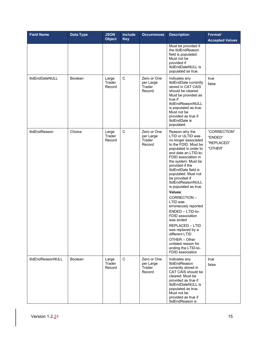| <b>Field Name</b>      | <b>Data Type</b> | <b>JSON</b><br><b>Object</b> | <b>Include</b><br><b>Key</b> | <b>Occurrences</b>                           | <b>Description</b>                                                                                                                                                                                                                                                                                                                                                                                                                                                                                                                                                                   | Format/<br><b>Accepted Values</b>                |
|------------------------|------------------|------------------------------|------------------------------|----------------------------------------------|--------------------------------------------------------------------------------------------------------------------------------------------------------------------------------------------------------------------------------------------------------------------------------------------------------------------------------------------------------------------------------------------------------------------------------------------------------------------------------------------------------------------------------------------------------------------------------------|--------------------------------------------------|
|                        |                  |                              |                              |                                              | Must be provided if<br>the ItidEndReason<br>field is populated.<br>Must not be<br>provided if<br>ItidEndDateNULL is<br>populated as true.                                                                                                                                                                                                                                                                                                                                                                                                                                            |                                                  |
| <b>ItidEndDateNULL</b> | <b>Boolean</b>   | Large<br>Trader<br>Record    | $\mathsf C$                  | Zero or One<br>per Large<br>Trader<br>Record | Indicates any<br>ItidEndDate currently<br>stored in CAT CAIS<br>should be cleared.<br>Must be provided as<br>true if<br>ItidEndReasonNULL<br>is populated as true.<br>Must not be<br>provided as true if<br>ItidEndDate is<br>populated.                                                                                                                                                                                                                                                                                                                                             | true<br>false                                    |
| <b>ItidEndReason</b>   | Choice           | Large<br>Trader<br>Record    | $\mathsf C$                  | Zero or One<br>per Large<br>Trader<br>Record | Reason why the<br>LTID or ULTID was<br>no longer associated<br>to the FDID. Must be<br>populated in order to<br>end date an LTID-to-<br>FDID association in<br>the system. Must be<br>provided if the<br>ItidEndDate field is<br>populated. Must not<br>be provided if<br>ItidEndReasonNULL<br>is populated as true.<br>Values:<br>CORRECTION-<br>LTID was<br>erroneously reported<br>ENDED - LTID-to-<br>FDID association<br>was ended<br>REPLACED - LTID<br>was replaced by a<br>different LTID<br>OTHER - Other<br>unlisted reason for<br>ending the LTID-to-<br>FDID association | "CORRECTION"<br>"ENDED"<br>"REPLACED"<br>"OTHER" |
| ItidEndReasonNULL      | Boolean          | Large<br>Trader<br>Record    | $\mathbf C$                  | Zero or One<br>per Large<br>Trader<br>Record | Indicates any<br>ItidEndReason<br>currently stored in<br>CAT CAIS should be<br>cleared. Must be<br>provided as true if<br>ItidEndDateNULL is<br>populated as true.<br>Must not be<br>provided as true if<br>ItidEndReason is                                                                                                                                                                                                                                                                                                                                                         | true<br>false                                    |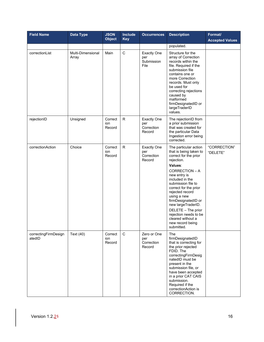| <b>Field Name</b>              | Data Type                  | <b>JSON</b><br><b>Object</b> | <b>Include</b><br><b>Key</b> | <b>Occurrences</b>                                | <b>Description</b>                                                                                                                                                                                                                                                                                                                                                                         | Format/<br><b>Accepted Values</b> |
|--------------------------------|----------------------------|------------------------------|------------------------------|---------------------------------------------------|--------------------------------------------------------------------------------------------------------------------------------------------------------------------------------------------------------------------------------------------------------------------------------------------------------------------------------------------------------------------------------------------|-----------------------------------|
|                                |                            |                              |                              |                                                   | populated.                                                                                                                                                                                                                                                                                                                                                                                 |                                   |
| correctionList                 | Multi-Dimensional<br>Array | Main                         | $\mathsf{C}$                 | <b>Exactly One</b><br>per<br>Submission<br>File   | Structure for the<br>array of Correction<br>records within the<br>file. Required if the<br>submission file<br>contains one or<br>more Correction<br>records. Must only<br>be used for<br>correcting rejections<br>caused by<br>malformed<br>firmDesignatedID or<br>largeTraderID<br>values.                                                                                                |                                   |
| rejectionID                    | Unsigned                   | Correct<br>ion<br>Record     | $\mathsf{R}$                 | <b>Exactly One</b><br>per<br>Correction<br>Record | The rejectionID from<br>a prior submission<br>that was created for<br>the particular Data<br>Ingestion error being<br>corrected.                                                                                                                                                                                                                                                           |                                   |
| correctionAction               | Choice                     | Correct<br>ion<br>Record     | ${\sf R}$                    | <b>Exactly One</b><br>per<br>Correction<br>Record | The particular action<br>that is being taken to<br>correct for the prior<br>rejection.<br>Values:<br>CORRECTION - A<br>new entry is<br>included in the<br>submission file to<br>correct for the prior<br>rejected record<br>using a new<br>firmDesignatedID or<br>new largeTraderID.<br>DELETE - The prior<br>rejection needs to be<br>cleared without a<br>new record being<br>submitted. | "CORRECTION"<br>"DELETE"          |
| correctingFirmDesign<br>atedID | Text (40)                  | Correct<br>ion<br>Record     | $\mathbf C$                  | Zero or One<br>per<br>Correction<br>Record        | The<br>firmDesignatedID<br>that is correcting for<br>the prior rejected<br>FDID. The<br>correctingFirmDesig<br>natedID must be<br>present in the<br>submission file, or<br>have been accepted<br>in a prior CAT CAIS<br>submission.<br>Required if the<br>correctionAction is<br>CORRECTION.                                                                                               |                                   |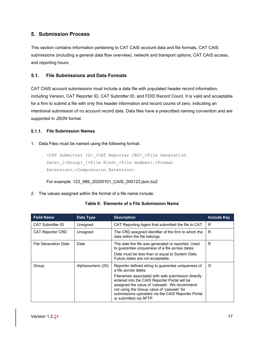# <span id="page-22-0"></span>**5. Submission Process**

This section contains information pertaining to CAT CAIS account data and file formats, CAT CAIS submissions (including a general data flow overview), network and transport options, CAT CAIS access, and reporting hours.

#### <span id="page-22-1"></span>**5.1. File Submissions and Data Formats**

CAT CAIS account submissions must include a data file with populated header record information, including Version, CAT Reporter ID, CAT Submitter ID, and FDID Record Count. It is valid and acceptable for a firm to submit a file with only this header information and record counts of zero, indicating an intentional submission of no account record data. Data files have a prescribed naming convention and are supported in JSON format.

#### <span id="page-22-2"></span>**File Submission Names**

#### 1. Data Files must be named using the following format:

```
<CAT Submitter ID>_<CAT Reporter CRD>_<File Generation 
Date> [<Group> ]<File Kind> <File Number>.<Format
Extension>.<Compression Extension>
```
For example: 123\_999\_20200101\_CAIS\_000123.json.bz2

2. The values assigned within the format of a file name include:

#### **Table 6: Elements of a File Submission Name**

| <b>Field Name</b>           | Data Type         | <b>Description</b>                                                                                                                                                                                                                                                               | <b>Include Key</b> |
|-----------------------------|-------------------|----------------------------------------------------------------------------------------------------------------------------------------------------------------------------------------------------------------------------------------------------------------------------------|--------------------|
| <b>CAT Submitter ID</b>     | Unsigned          | CAT Reporting Agent that submitted the file to CAT.                                                                                                                                                                                                                              | R.                 |
| <b>CAT Reporter CRD</b>     | Unsigned          | The CRD assigned identifier of the firm to which the<br>data within the file belongs.                                                                                                                                                                                            | R                  |
| <b>File Generation Date</b> | Date              | The date the file was generated or reported. Used<br>to guarantee uniqueness of a file across dates.                                                                                                                                                                             | R                  |
|                             |                   | Date must be less than or equal to System Date.<br>Future dates are not acceptable.                                                                                                                                                                                              |                    |
| Group                       | Alphanumeric (20) | Reporter defined string to guarantee uniqueness of<br>a file across dates.                                                                                                                                                                                                       | O                  |
|                             |                   | Filenames associated with web submission directly<br>entered into the CAIS Reporter Portal will be<br>assigned the value of 'caisweb'. We recommend<br>not using the Group value of 'caisweb' for<br>submissions uploaded via the CAIS Reporter Portal<br>or submitted via SFTP. |                    |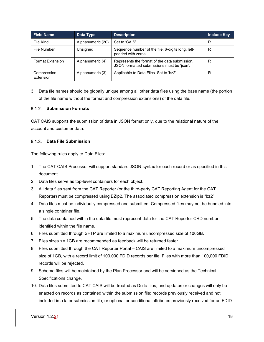| <b>Field Name</b>        | Data Type         | <b>Description</b>                                                                          | <b>Include Key</b> |
|--------------------------|-------------------|---------------------------------------------------------------------------------------------|--------------------|
| File Kind                | Alphanumeric (20) | Set to 'CAIS'                                                                               | R                  |
| File Number              | Unsigned          | Sequence number of the file, 6-digits long, left-<br>padded with zeros.                     | R                  |
| <b>Format Extension</b>  | Alphanumeric (4)  | Represents the format of the data submission.<br>JSON formatted submissions must be 'json'. | R                  |
| Compression<br>Extension | Alphanumeric (3)  | Applicable to Data Files. Set to 'bz2'                                                      | R                  |

3. Data file names should be globally unique among all other data files using the base name (the portion of the file name without the format and compression extensions) of the data file.

#### <span id="page-23-0"></span>**Submission Formats**

CAT CAIS supports the submission of data in JSON format only, due to the relational nature of the account and customer data.

#### <span id="page-23-1"></span>**Data File Submission**

The following rules apply to Data Files:

- 1. The CAT CAIS Processor will support standard JSON syntax for each record or as specified in this document.
- 2. Data files serve as top-level containers for each object.
- 3. All data files sent from the CAT Reporter (or the third-party CAT Reporting Agent for the CAT Reporter) must be compressed using BZip2. The associated compression extension is "bz2".
- 4. Data files must be individually compressed and submitted. Compressed files may not be bundled into a single container file.
- 5. The data contained within the data file must represent data for the CAT Reporter CRD number identified within the file name.
- 6. Files submitted through SFTP are limited to a maximum uncompressed size of 100GB.
- 7. Files sizes <= 1GB are recommended as feedback will be returned faster.
- 8. Files submitted through the CAT Reporter Portal CAIS are limited to a maximum uncompressed size of 1GB, with a record limit of 100,000 FDID records per file. Files with more than 100,000 FDID records will be rejected.
- 9. Schema files will be maintained by the Plan Processor and will be versioned as the Technical Specifications change.
- 10. Data files submitted to CAT CAIS will be treated as Delta files, and updates or changes will only be enacted on records as contained within the submission file; records previously received and not included in a later submission file, or optional or conditional attributes previously received for an FDID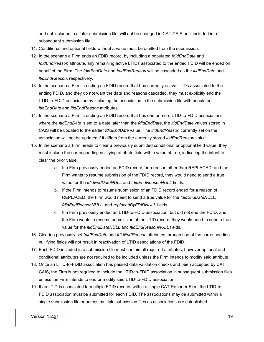and not included in a later submission file, will not be changed in CAT CAIS until included in a subsequent submission file.

- 11. Conditional and optional fields without a value must be omitted from the submission.
- 12. In the scenario a Firm ends an FDID record, by including a populated *fdidEndDate* and *fdidEndReason* attribute, any remaining active LTIDs associated to the ended FDID will be ended on behalf of the Firm. The *fdidEndDate* and *fdidEndReason* will be cascaded as the *ltidEndDate* and *ltidEndReason*, respectively.
- 13. In the scenario a Firm is ending an FDID record that has currently active LTIDs associated to the ending FDID, and they do not want the date and reasons cascaded, they must explicitly end the LTID-to-FDID association by including the association in the submission file with populated *ltidEndDate* and *ltidEndReason* attributes.
- 14. In the scenario a Firm is ending an FDID record that has one or more LTID-to-FDID associations where the *ltidEndDate* is set to a date later than the *fdidEndDate*, the *ltidEndDate* values stored in CAIS will be updated to the earlier *fdidEndDate* value. The *ltidEndReason* currently set on the association will not be updated if it differs from the currently stored *ltidEndReason* value.
- 15. In the scenario a Firm needs to clear a previously submitted conditional or optional field value, they must include the corresponding nullifying attribute field with a value of true, indicating the intent to clear the prior value.
	- a. If a Firm previously ended an FDID record for a reason other than REPLACED, and the Firm wants to resume submission of the FDID record, they would need to send a true value for the *fdidEndDateNULL* and *fdidEndReasonNULL* fields.
	- b. If the Firm intends to resume submission of an FDID record ended for a reason of REPLACED, the Firm would need to send a true value for the *fdidEndDateNULL*, *fdidEndReasonNULL*, and *replacedByFDIDNULL* fields.
	- c. If a Firm previously ended an LTID-to-FDID association, but did not end the FDID, and the Firm wants to resume submission of the LTID record, they would need to send a true value for the *ltidEndDateNULL* and *ltidEndReasonNULL* fields.
- 16. Clearing previously set *fdidEndDate* and *fdidEndReason* attributes through use of the corresponding nullifying fields will not result in reactivation of LTID associations of the FDID.
- 17. Each FDID included in a submission file must contain all required attributes, however optional and conditional attributes are not required to be included unless the Firm intends to modify said attribute.
- 18. Once an LTID-to-FDID association has passed data validation checks and been accepted by CAT CAIS, the Firm is not required to include the LTID-to-FDID association in subsequent submission files unless the Firm intends to end or modify said LTID-to-FDID association.
- 19. If an LTID is associated to multiple FDID records within a single CAT Reporter Firm, the LTID-to-FDID association must be submitted for each FDID. The associations may be submitted within a single submission file or across multiple submission files as associations are established.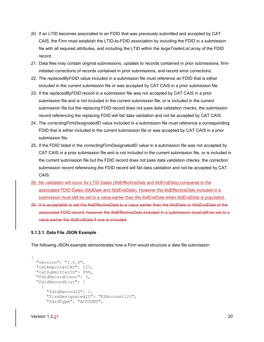- 20. If an LTID becomes associated to an FDID that was previously submitted and accepted by CAT CAIS, the Firm must establish the LTID-to-FDID association by including the FDID in a submission file with all required attributes, and including the LTID within the *largeTraderList* array of the FDID record.
- 21. Data files may contain original submissions, updates to records contained in prior submissions, firminitiated corrections of records contained in prior submissions, and record error corrections.
- 22. The *replacedByFDID* value included in a submission file must reference an FDID that is either included in the current submission file or was accepted by CAT CAIS in a prior submission file.
- 23. If the *replacedByFDID* record in a submission file was not accepted by CAT CAIS in a prior submission file and is not included in the current submission file, or is included in the current submission file but the replacing FDID record does not pass data validation checks, the submission record referencing the replacing FDID will fail data validation and not be accepted by CAT CAIS.
- 24. The *correctingFirmDesignatedID* value included in a submission file must reference a corresponding FDID that is either included in the current submission file or was accepted by CAT CAIS in a prior submission file.
- 25. If the FDID listed in the *correctingFirmDesignatedID* value in a submission file was not accepted by CAT CAIS in a prior submission file and is not included in the current submission file, or is included in the current submission file but the FDID record does not pass data validation checks, the correction submission record referencing the FDID record will fail data validation and not be accepted by CAT CAIS.
- 26. No validation will occur for LTID Dates (*ltidEffectiveDate* and *ltidEndDate*) compared to the associated FDID Dates (*fdidDate* and *fdidEndDate*). However the *ltidEffectiveDate* included in a submission must still be set to a value earlier than the *ltidEndDate* when *ltidEndDate* is populated.
- 26. It is acceptable to set the *ltidEffectiveDate* to a value earlier than the *fdidDate* or *fdidEndDate* of the associated FDID record, however the *ltidEffectiveDate* included in a submission must still be set to a value earlier the *ltidEndDate* if one is included.

#### **5.1.3.1. Data File JSON Example**

The following JSON example demonstrates how a Firm would structure a data file submission.

```
{
   "version": "1.0.0",
   "catReporterCRD": 123,
   "catSubmitterID": 999,
   "fdidRecordCount": 3,
   "fdidRecordList": [
\left\{\begin{array}{ccc} \end{array}\right\} "fdidRecordID": 1, 
        "firmDesignatedID": "EZAccount123",
        "fdidType": "ACCOUNT",
```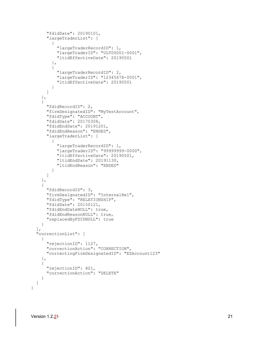```
 "fdidDate": 20190101,
       "largeTraderList": [
\{ "largeTraderRecordID": 1,
           "largeTraderID": "ULT00001-0001",
           "ltidEffectiveDate": 20190501
         },
\{ "largeTraderRecordID": 2,
           "largeTraderID": "12345678-0001",
           "ltidEffectiveDate": 20190501
         }
       ]
    },
     {
       "fdidRecordID": 2,
       "firmDesignatedID": "MyTestAccount",
       "fdidType": "ACCOUNT",
      "fdidDate": 20170308,
      "fdidEndDate": 20191201,
       "fdidEndReason": "ENDED",
       "largeTraderList": [
\{ "largeTraderRecordID": 1,
           "largeTraderID": "99999999-0000",
           "ltidEffectiveDate": 20190501,
           "ltidEndDate": 20191130,
         "ltidEndReason": "ENDED"
 }
       ]
     },
     {
      "fdidRecordID": 3,
      "firmDesignatedID": "InternalRel",
      "fdidType": "RELATIONSHIP",
      "fdidDate": 20150121,
      "fdidEndDateNULL": true,
       "fdidEndReasonNULL": true,
      "replacedByFDIDNULL": true
    }
  ],
  "correctionList": [
    {
       "rejectionID": 1127,
       "correctionAction": "CORRECTION",
       "correctingFirmDesignatedID": "EZAccount123"
    },
     {
       "rejectionID": 821,
       "correctionAction": "DELETE"
    }
  ]
```
}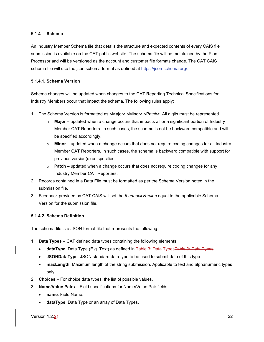#### <span id="page-27-0"></span>**Schema**

An Industry Member Schema file that details the structure and expected contents of every CAIS file submission is available on the CAT public website. The schema file will be maintained by the Plan Processor and will be versioned as the account and customer file formats change. The CAT CAIS schema file will use the json schema format as defined at [https://json-schema.org/.](https://json-schema.org/)

#### **5.1.4.1. Schema Version**

Schema changes will be updated when changes to the CAT Reporting Technical Specifications for Industry Members occur that impact the schema. The following rules apply:

- 1. The Schema Version is formatted as <Major>.<Minor>.<Patch>. All digits must be represented.
	- o **Major –** updated when a change occurs that impacts all or a significant portion of Industry Member CAT Reporters. In such cases, the schema is not be backward compatible and will be specified accordingly.
	- o **Minor –** updated when a change occurs that does not require coding changes for all Industry Member CAT Reporters. In such cases, the schema is backward compatible with support for previous version(s) as specified.
	- o **Patch –** updated when a change occurs that does not require coding changes for any Industry Member CAT Reporters.
- 2. Records contained in a Data File must be formatted as per the Schema Version noted in the submission file.
- 3. Feedback provided by CAT CAIS will set the *feedbackVersion* equal to the applicable Schema Version for the submission file.

#### **5.1.4.2. Schema Definition**

The schema file is a JSON format file that represents the following:

- 1. **Data Types** CAT defined data types containing the following elements:
	- **dataType**: Data Type (E.g. Text) as defined in Table 3: Data Types<del>Table 3: Data Types</del>
	- **JSONDataType**: JSON standard data type to be used to submit data of this type.
	- **maxLength**: Maximum length of the string submission. Applicable to text and alphanumeric types only.
- 2. **Choices** For choice data types, the list of possible values.
- 3. **Name/Value Pairs**  Field specifications for Name/Value Pair fields.
	- **name**: Field Name.
	- **dataType**: Data Type or an array of Data Types.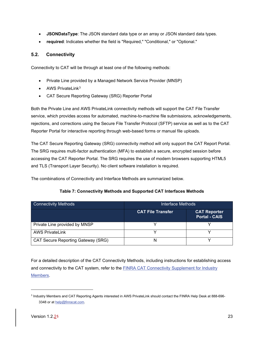- **JSONDataType**: The JSON standard data type or an array or JSON standard data types.
- **required**: Indicates whether the field is "Required," "Conditional," or "Optional."

#### <span id="page-28-0"></span>**5.2. Connectivity**

Connectivity to CAT will be through at least one of the following methods:

- Private Line provided by a Managed Network Service Provider (MNSP)
- AWS PrivateLink<sup>[3](#page-28-1)</sup>
- CAT Secure Reporting Gateway (SRG) Reporter Portal

Both the Private Line and AWS PrivateLink connectivity methods will support the CAT File Transfer service, which provides access for automated, machine-to-machine file submissions, acknowledgements, rejections, and corrections using the Secure File Transfer Protocol (SFTP) service as well as to the CAT Reporter Portal for interactive reporting through web-based forms or manual file uploads.

The CAT Secure Reporting Gateway (SRG) connectivity method will only support the CAT Report Portal. The SRG requires multi-factor authentication (MFA) to establish a secure, encrypted session before accessing the CAT Reporter Portal. The SRG requires the use of modern browsers supporting HTML5 and TLS (Transport Layer Security). No client software installation is required.

The combinations of Connectivity and Interface Methods are summarized below.

#### **Table 7: Connectivity Methods and Supported CAT Interfaces Methods**

| Connectivity Methods               | Interface Methods        |                                             |  |  |
|------------------------------------|--------------------------|---------------------------------------------|--|--|
|                                    | <b>CAT File Transfer</b> | <b>CAT Reporter</b><br><b>Portal - CAIS</b> |  |  |
| Private Line provided by MNSP      |                          |                                             |  |  |
| <b>AWS PrivateLink</b>             |                          |                                             |  |  |
| CAT Secure Reporting Gateway (SRG) | N                        |                                             |  |  |

For a detailed description of the CAT Connectivity Methods, including instructions for establishing access and connectivity to the CAT system, refer to the FINRA CAT Connectivity Supplement for Industry [Members.](https://www.catnmsplan.com/transaction-registration)

<span id="page-28-1"></span><sup>3</sup> Industry Members and CAT Reporting Agents interested in AWS PrivateLink should contact the FINRA Help Desk at 888-696 3348 or a[t help@finracat.com.](mailto:help@finracat.com)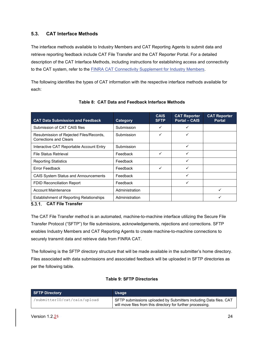#### <span id="page-29-0"></span>**5.3. CAT Interface Methods**

The interface methods available to Industry Members and CAT Reporting Agents to submit data and retrieve reporting feedback include CAT File Transfer and the CAT Reporter Portal. For a detailed description of the CAT Interface Methods, including instructions for establishing access and connectivity to the CAT system, refer to the [FINRA CAT Connectivity Supplement for Industry Members.](https://www.catnmsplan.com/transaction-registration)

The following identifies the types of CAT information with the respective interface methods available for each:

<span id="page-29-2"></span>

| <b>CAT Data Submission and Feedback</b>                                  | Category       | <b>CAIS</b><br><b>SFTP</b> | <b>CAT Reporter</b><br><b>Portal - CAIS</b> | <b>CAT Reporter</b><br><b>Portal</b> |
|--------------------------------------------------------------------------|----------------|----------------------------|---------------------------------------------|--------------------------------------|
| Submission of CAT CAIS files                                             | Submission     | ✓                          | ✓                                           |                                      |
| Resubmission of Rejected Files/Records,<br><b>Corrections and Clears</b> | Submission     | ✓                          | ✓                                           |                                      |
| Interactive CAT Reportable Account Entry                                 | Submission     |                            | ✓                                           |                                      |
| <b>File Status Retrieval</b>                                             | Feedback       | ✓                          | ✓                                           |                                      |
| <b>Reporting Statistics</b>                                              | Feedback       |                            | ✓                                           |                                      |
| Error Feedback                                                           | Feedback       | ✓                          | ✓                                           |                                      |
| <b>CAIS System Status and Announcements</b>                              | Feedback       |                            | ✓                                           |                                      |
| <b>FDID Reconciliation Report</b>                                        | Feedback       |                            | ✓                                           |                                      |
| <b>Account Maintenance</b>                                               | Administration |                            |                                             |                                      |
| <b>Establishment of Reporting Relationships</b>                          | Administration |                            |                                             |                                      |

#### **Table 8: CAT Data and Feedback Interface Methods**

#### <span id="page-29-1"></span>**CAT File Transfer**

The CAT File Transfer method is an automated, machine-to-machine interface utilizing the Secure File Transfer Protocol ("SFTP") for file submissions, acknowledgements, rejections and corrections. SFTP enables Industry Members and CAT Reporting Agents to create machine-to-machine connections to securely transmit data and retrieve data from FINRA CAT.

The following is the SFTP directory structure that will be made available in the submitter's home directory. Files associated with data submissions and associated feedback will be uploaded in SFTP directories as per the following table.

#### **Table 9: SFTP Directories**

| <b>SFTP Directory</b>        | <b>Usage</b>                                                                                                                     |
|------------------------------|----------------------------------------------------------------------------------------------------------------------------------|
| /submitterID/cat/cais/upload | SFTP submissions uploaded by Submitters including Data files. CAT<br>will move files from this directory for further processing. |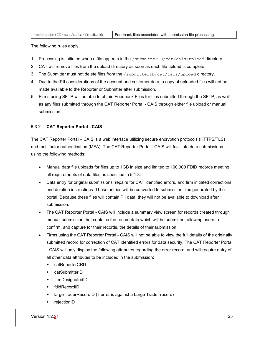| /submitterID/cat/cais/feedback | Feedback files associated with submission file processing. |
|--------------------------------|------------------------------------------------------------|
|--------------------------------|------------------------------------------------------------|

The following rules apply:

- 1. Processing is initiated when a file appears in the /submitterID/cat/cais/upload directory.
- 2. CAT will remove files from the upload directory as soon as each file upload is complete.
- 3. The Submitter must not delete files from the /submitterID/cat/cais/upload directory.
- 4. Due to the PII considerations of the account and customer data, a copy of uploaded files will not be made available to the Reporter or Submitter after submission.
- 5. Firms using SFTP will be able to obtain Feedback Files for files submitted through the SFTP, as well as any files submitted through the CAT Reporter Portal - CAIS through either file upload or manual submission.

#### <span id="page-30-0"></span>**CAT Reporter Portal - CAIS**

The CAT Reporter Portal – CAIS is a web interface utilizing secure encryption protocols (HTTPS/TLS) and multifactor authentication (MFA). The CAT Reporter Portal - CAIS will facilitate data submissions using the following methods:

- Manual data file uploads for files up to 1GB in size and limited to 100,000 FDID records meeting all requirements of data files as specified in [5.1.3.](#page-23-1)
- Data entry for original submissions, repairs for CAT identified errors, and firm initiated corrections and deletion instructions. These entries will be converted to submission files generated by the portal. Because these files will contain PII data, they will not be available to download after submission.
- The CAT Reporter Portal CAIS will include a summary view screen for records created through manual submission that contains the record data which will be submitted, allowing users to confirm, and capture for their records, the details of their submission.
- Firms using the CAT Reporter Portal CAIS will not be able to view the full details of the originally submitted record for correction of CAT identified errors for data security. The CAT Reporter Portal - CAIS will only display the following attributes regarding the error record, and will require entry of all other data attributes to be included in the submission:
	- catReporterCRD
	- catSubmitterID
	- **+** firmDesignatedID
	- fdidRecordID
	- largeTraderRecordID (if error is against a Large Trader record)
	- rejectionID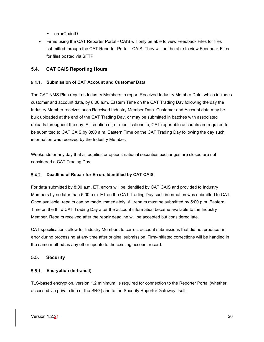- ◆ errorCodeID
- Firms using the CAT Reporter Portal CAIS will only be able to view Feedback Files for files submitted through the CAT Reporter Portal - CAIS. They will not be able to view Feedback Files for files posted via SFTP.

#### <span id="page-31-0"></span>**5.4. CAT CAIS Reporting Hours**

#### <span id="page-31-1"></span>**Submission of CAT Account and Customer Data**

The CAT NMS Plan requires Industry Members to report Received Industry Member Data, which includes customer and account data, by 8:00 a.m. Eastern Time on the CAT Trading Day following the day the Industry Member receives such Received Industry Member Data. Customer and Account data may be bulk uploaded at the end of the CAT Trading Day, or may be submitted in batches with associated uploads throughout the day. All creation of, or modifications to, CAT reportable accounts are required to be submitted to CAT CAIS by 8:00 a.m. Eastern Time on the CAT Trading Day following the day such information was received by the Industry Member.

Weekends or any day that all equities or options national securities exchanges are closed are not considered a CAT Trading Day.

#### <span id="page-31-2"></span>**Deadline of Repair for Errors Identified by CAT CAIS**

For data submitted by 8:00 a.m. ET, errors will be identified by CAT CAIS and provided to Industry Members by no later than 5:00 p.m. ET on the CAT Trading Day such information was submitted to CAT. Once available, repairs can be made immediately. All repairs must be submitted by 5:00 p.m. Eastern Time on the third CAT Trading Day after the account information became available to the Industry Member. Repairs received after the repair deadline will be accepted but considered late.

CAT specifications allow for Industry Members to correct account submissions that did not produce an error during processing at any time after original submission. Firm-initiated corrections will be handled in the same method as any other update to the existing account record.

#### <span id="page-31-3"></span>**5.5. Security**

#### <span id="page-31-4"></span>**Encryption (In-transit)**

TLS-based encryption, version 1.2 minimum, is required for connection to the Reporter Portal (whether accessed via private line or the SRG) and to the Security Reporter Gateway itself.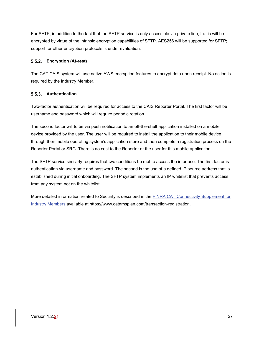For SFTP, in addition to the fact that the SFTP service is only accessible via private line, traffic will be encrypted by virtue of the intrinsic encryption capabilities of SFTP. AES256 will be supported for SFTP; support for other encryption protocols is under evaluation.

#### <span id="page-32-0"></span>**Encryption (At-rest)**

The CAT CAIS system will use native AWS encryption features to encrypt data upon receipt. No action is required by the Industry Member.

#### <span id="page-32-1"></span>5.5.3. Authentication

Two-factor authentication will be required for access to the CAIS Reporter Portal. The first factor will be username and password which will require periodic rotation.

The second factor will to be via push notification to an off-the-shelf application installed on a mobile device provided by the user. The user will be required to install the application to their mobile device through their mobile operating system's application store and then complete a registration process on the Reporter Portal or SRG. There is no cost to the Reporter or the user for this mobile application.

The SFTP service similarly requires that two conditions be met to access the interface. The first factor is authentication via username and password. The second is the use of a defined IP source address that is established during initial onboarding. The SFTP system implements an IP whitelist that prevents access from any system not on the whitelist.

More detailed information related to Security is described in the **FINRA CAT Connectivity Supplement for** [Industry Members](https://www.catnmsplan.com/transaction-registration) available at https://www.catnmsplan.com/transaction-registration.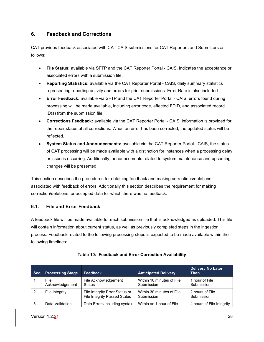# <span id="page-33-0"></span>**6. Feedback and Corrections**

CAT provides feedback associated with CAT CAIS submissions for CAT Reporters and Submitters as follows:

- **File Status:** available via SFTP and the CAT Reporter Portal CAIS, indicates the acceptance or associated errors with a submission file.
- **Reporting Statistics:** available via the CAT Reporter Portal CAIS, daily summary statistics representing reporting activity and errors for prior submissions. Error Rate is also included.
- **Error Feedback:** available via SFTP and the CAT Reporter Portal CAIS, errors found during processing will be made available, including error code, affected FDID, and associated record ID(s) from the submission file.
- **Corrections Feedback:** available via the CAT Reporter Portal CAIS, information is provided for the repair status of all corrections. When an error has been corrected, the updated status will be reflected.
- **System Status and Announcements:** available via the CAT Reporter Portal CAIS, the status of CAT processing will be made available with a distinction for instances when a processing delay or issue is occurring. Additionally, announcements related to system maintenance and upcoming changes will be presented.

This section describes the procedures for obtaining feedback and making corrections/deletions associated with feedback of errors. Additionally this section describes the requirement for making correction/deletions for accepted data for which there was no feedback.

## <span id="page-33-1"></span>**6.1. File and Error Feedback**

A feedback file will be made available for each submission file that is acknowledged as uploaded. This file will contain information about current status, as well as previously completed steps in the ingestion process. Feedback related to the following processing steps is expected to be made available within the following timelines:

| <b>Seq</b> | <b>Processing Stage</b> | <b>Feedback</b>                                                       | <b>Anticipated Delivery</b>             | <b>Delivery No Later</b><br>Than |
|------------|-------------------------|-----------------------------------------------------------------------|-----------------------------------------|----------------------------------|
|            | File<br>Acknowledgement | File Acknowledgement<br>Status                                        | Within 10 minutes of File<br>Submission | 1 hour of File<br>Submission     |
| -2         | File Integrity          | File Integrity Error Status or<br><b>File Integrity Passed Status</b> | Within 30 minutes of File<br>Submission | 2 hours of File<br>Submission    |
| -3         | Data Validation         | Data Errors including syntax                                          | Within an 1 hour of File                | 4 hours of File Integrity        |

#### **Table 10: Feedback and Error Correction Availability**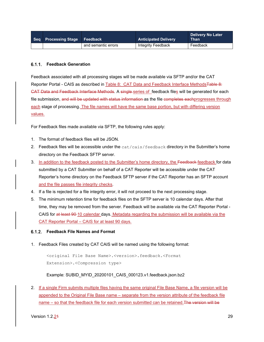| Seq Processing Stage Feedback |                     | <b>Anticipated Delivery</b> | <b>Delivery No Later</b><br><b>Than</b> |
|-------------------------------|---------------------|-----------------------------|-----------------------------------------|
|                               | and semantic errors | Integrity Feedback          | Feedback                                |

#### <span id="page-34-0"></span>**Feedback Generation**

Feedback associated with all processing stages will be made available via SFTP and/or the CAT Reporter Portal - CAIS as described in [Table 8: CAT Data and Feedback Interface](#page-29-2) MethodsTable 8: [CAT Data and Feedback Interface](#page-29-2) Methods. A single series of feedback files will be generated for each file submission, and will be updated with status information as the file completes eachprogresses through each stage of processing. The file names will have the same base portion, but with differing version values.

For Feedback files made available via SFTP, the following rules apply:

- 1. The format of feedback files will be JSON.
- 2. Feedback files will be accessible under the cat/cais/feedback directory in the Submitter's home directory on the Feedback SFTP server.
- 3. In addition to the feedback posted to the Submitter's home directory, the Feedback-feedback for data submitted by a CAT Submitter on behalf of a CAT Reporter will be accessible under the CAT Reporter's home directory on the Feedback SFTP server if the CAT Reporter has an SFTP account and the file passes file integrity checks.
- 4. If a file is rejected for a file integrity error, it will not proceed to the next processing stage.
- 5. The minimum retention time for feedback files on the SFTP server is 10 calendar days. After that time, they may be removed from the server. Feedback will be available via the CAT Reporter Portal - CAIS for at least 90-10 calendar days. Metadata regarding the submission will be available via the CAT Reporter Portal – CAIS for at least 90 days.

<span id="page-34-1"></span>**Feedback File Names and Format**

1. Feedback Files created by CAT CAIS will be named using the following format:

<original File Base Name>.<version>.feedback.<Format Extension>.<Compression type>

#### Example: SUBID\_MYID\_20200101\_CAIS\_000123.v1.feedback.json.bz2

2. If a single Firm submits multiple files having the same original File Base Name, a file version will be appended to the Original File Base name – separate from the version attribute of the feedback file name – so that the feedback file for each version submitted can be retained. The version will be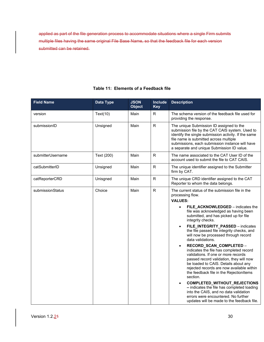applied as part of the file generation process to accommodate situations where a single Firm submits multiple files having the same original File Base Name, so that the feedback file for each version submitted can be retained.

| <b>Field Name</b> | <b>Data Type</b> | <b>JSON</b><br><b>Object</b> | <b>Include</b><br><b>Key</b> | <b>Description</b>                                                                                                                                                                                                                                                                                                                                                                                                                                                                                                                                                                                                                                                                                                                                                                                                                                                                                                                                    |  |
|-------------------|------------------|------------------------------|------------------------------|-------------------------------------------------------------------------------------------------------------------------------------------------------------------------------------------------------------------------------------------------------------------------------------------------------------------------------------------------------------------------------------------------------------------------------------------------------------------------------------------------------------------------------------------------------------------------------------------------------------------------------------------------------------------------------------------------------------------------------------------------------------------------------------------------------------------------------------------------------------------------------------------------------------------------------------------------------|--|
| version           | Text(10)         | Main                         | R                            | The schema version of the feedback file used for<br>providing the response.                                                                                                                                                                                                                                                                                                                                                                                                                                                                                                                                                                                                                                                                                                                                                                                                                                                                           |  |
| submissionID      | Unsigned         | Main                         | $\mathsf{R}$                 | The unique Submission ID assigned to the<br>submission file by the CAT CAIS system. Used to<br>identify the single submission activity. If the same<br>file name is submitted across multiple<br>submissions, each submission instance will have<br>a separate and unique Submission ID value.                                                                                                                                                                                                                                                                                                                                                                                                                                                                                                                                                                                                                                                        |  |
| submitterUsername | Text (200)       | Main                         | $\mathsf{R}$                 | The name associated to the CAT User ID of the<br>account used to submit the file to CAT CAIS.                                                                                                                                                                                                                                                                                                                                                                                                                                                                                                                                                                                                                                                                                                                                                                                                                                                         |  |
| catSubmitterID    | Unsigned         | Main                         | $\mathsf R$                  | The unique identifier assigned to the Submitter<br>firm by CAT.                                                                                                                                                                                                                                                                                                                                                                                                                                                                                                                                                                                                                                                                                                                                                                                                                                                                                       |  |
| catReporterCRD    | Unisgned         | Main                         | $\mathsf R$                  | The unique CRD identifier assigned to the CAT<br>Reporter to whom the data belongs.                                                                                                                                                                                                                                                                                                                                                                                                                                                                                                                                                                                                                                                                                                                                                                                                                                                                   |  |
| submissionStatus  | Choice           | Main                         | $\mathsf R$                  | The current status of the submission file in the<br>processing flow.<br><b>VALUES:</b><br>FILE_ACKNOWLEDGED - indicates the<br>$\bullet$<br>file was acknowledged as having been<br>submitted, and has picked up for file<br>integrity checks.<br>FILE_INTEGRITY_PASSED - indicates<br>$\bullet$<br>the file passed file integrity checks, and<br>will now be processed through record<br>data validations.<br>RECORD_SCAN_COMPLETED -<br>$\bullet$<br>indicates the file has completed record<br>validations. If one or more records<br>passed record validation, they will now<br>be loaded to CAIS. Details about any<br>rejected records are now available within<br>the feedback file in the RejectionItems<br>section.<br>COMPLETED_WITHOUT_REJECTIONS<br>$\bullet$<br>- indicates the file has completed loading<br>into the CAIS, and no data validation<br>errors were encountered. No further<br>updates will be made to the feedback file. |  |

#### **Table 11: Elements of a Feedback file**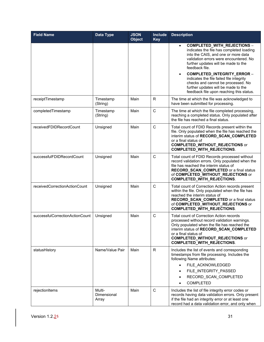| <b>Field Name</b>               | Data Type                      | <b>JSON</b><br><b>Object</b> | Include<br><b>Key</b> | <b>Description</b>                                                                                                                                                                                                                                                                                                                                                                                                                              |
|---------------------------------|--------------------------------|------------------------------|-----------------------|-------------------------------------------------------------------------------------------------------------------------------------------------------------------------------------------------------------------------------------------------------------------------------------------------------------------------------------------------------------------------------------------------------------------------------------------------|
|                                 |                                |                              |                       | COMPLETED_WITH_REJECTIONS -<br>$\bullet$<br>indicates the file has completed loading<br>into the CAIS, and one or more data<br>validation errors were encountered. No<br>further updates will be made to the<br>feedback file.<br>COMPLETED_INTEGRITY_ERROR -<br>$\bullet$<br>indicates the file failed file integrity<br>checks and cannot be processed. No<br>further updates will be made to the<br>feedback file upon reaching this status. |
| receiptTimestamp                | Timestamp<br>(String)          | Main                         | R                     | The time at which the file was acknowledged to<br>have been submitted for processing.                                                                                                                                                                                                                                                                                                                                                           |
| completedTimestamp              | Timestamp<br>(String)          | Main                         | $\mathsf{C}$          | The time at which the file completed processing,<br>reaching a completed status. Only populated after<br>the file has reached a final status.                                                                                                                                                                                                                                                                                                   |
| receivedFDIDRecordCount         | Unsigned                       | Main                         | $\mathsf{C}$          | Total count of FDID Records present within the<br>file. Only populated when the file has reached the<br>interim status of RECORD_SCAN_COMPLETED<br>or a final status of<br><b>COMPLETED_WITHOUT_REJECTIONS</b> or<br>COMPLETED_WITH_REJECTIONS.                                                                                                                                                                                                 |
| successfulFDIDRecordCount       | Unsigned                       | Main                         | $\mathsf C$           | Total count of FDID Records processed without<br>record validation errors. Only populated when the<br>file has reached the interim status of<br>RECORD_SCAN_COMPLETED or a final status<br>of COMPLETED_WITHOUT_REJECTIONS or<br><b>COMPLETED_WITH_REJECTIONS.</b>                                                                                                                                                                              |
| receivedCorrectionActionCount   | Unsigned                       | Main                         | $\mathsf{C}$          | Total count of Correction Action records present<br>within the file. Only populated when the file has<br>reached the interim status of<br>RECORD_SCAN_COMPLETED or a final status<br>of COMPLETED_WITHOUT_REJECTIONS or<br>COMPLETED_WITH_REJECTIONS.                                                                                                                                                                                           |
| successfulCorrectionActionCount | Unsigned                       | Main                         | $\mathbf C$           | <b>Total count of Correction Action records</b><br>processed without record validation warnings.<br>Only populated when the file has reached the<br>interim status of RECORD SCAN COMPLETED<br>or a final status of<br><b>COMPLETED_WITHOUT_REJECTIONS</b> or<br>COMPLETED_WITH_REJECTIONS.                                                                                                                                                     |
| statusHistory                   | Name/Value Pair                | Main                         | $\mathsf{R}$          | Includes the list of events and corresponding<br>timestamps from file processing. Includes the<br>following Name attributes:<br>FILE ACKNOWLEDGED<br>$\bullet$<br>FILE_INTEGRITY_PASSED<br>$\bullet$<br>RECORD_SCAN_COMPLETED<br>$\bullet$<br><b>COMPLETED</b><br>$\bullet$                                                                                                                                                                     |
| rejectionItems                  | Multi-<br>Dimensional<br>Array | Main                         | $\mathsf{C}$          | Includes the list of file integrity error codes or<br>records having data validation errors. Only present<br>if the file had an integrity error or at least one<br>record had a data validation error, and only when                                                                                                                                                                                                                            |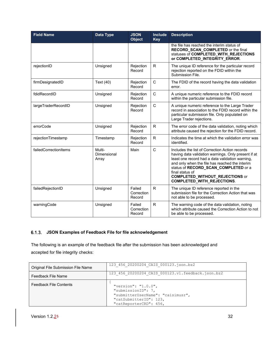| <b>Field Name</b>     | <b>Data Type</b>               | <b>JSON</b><br><b>Object</b>                                                 | <b>Include</b><br><b>Key</b> | <b>Description</b>                                                                                                                                                                                                                                                                           |
|-----------------------|--------------------------------|------------------------------------------------------------------------------|------------------------------|----------------------------------------------------------------------------------------------------------------------------------------------------------------------------------------------------------------------------------------------------------------------------------------------|
|                       |                                |                                                                              |                              | the file has reached the interim status of<br>RECORD_SCAN_COMPLETED or the final<br>statuses of COMPLETED_WITH_REJECTIONS<br>or COMPLETED_INTEGRITY_ERROR.                                                                                                                                   |
| rejectionID           | Unsigned                       | Rejection<br>Record                                                          | R                            | The unique ID reference for the particular record<br>rejection reported on the FDID within the<br>Submission File.                                                                                                                                                                           |
| firmDesignatedID      | Text (40)                      | Rejection<br>Record                                                          | $\mathsf{C}$                 | The FDID of the record having the data validation<br>error.                                                                                                                                                                                                                                  |
| fdidRecordID          | Unsigned                       | Rejection<br>Record                                                          | $\mathsf C$                  | A unique numeric reference to the FDID record<br>within the particular submission file.                                                                                                                                                                                                      |
| largeTraderRecordID   | Unsigned                       | Rejection<br>Record                                                          | $\mathsf{C}$                 | A unique numeric reference to the Large Trader<br>record in association to the FDID record within the<br>particular submission file. Only populated on<br>Large Trader rejections.                                                                                                           |
| errorCode             | Unsigned                       | Rejection<br>Record                                                          | $\mathsf{R}$                 | The error code of the data validation, noting which<br>attribute caused the rejection for the FDID record.                                                                                                                                                                                   |
| rejectionTimestamp    | Timestamp                      | Rejection<br>Record                                                          | $\mathsf{R}$                 | Indicates the time at which the validation error was<br>identified.                                                                                                                                                                                                                          |
| failedCorrectionItems | Multi-<br>Dimensional<br>Array | $\mathsf{C}$<br>Main<br>final status of<br><b>COMPLETED_WITH_REJECTIONS.</b> |                              | Includes the list of Correction Action records<br>having data validation warnings. Only present if at<br>least one record had a data validation warning,<br>and only when the file has reached the interim<br>status of RECORD_SCAN_COMPLETED or a<br><b>COMPLETED_WITHOUT_REJECTIONS or</b> |
| failedRejectionID     | Unsigned                       | Failed<br>Correction<br>Record                                               | R                            | The unique ID reference reported in the<br>submission file for the Correction Action that was<br>not able to be processed.                                                                                                                                                                   |
| warningCode           | Unsigned                       | Failed<br>Correction<br>Record                                               | $\mathsf{R}$                 | The warning code of the data validation, noting<br>which attribute caused the Correction Action to not<br>be able to be processed.                                                                                                                                                           |

#### <span id="page-37-0"></span>**JSON Examples of Feedback File for file acknowledgement**

The following is an example of the feedback file after the submission has been acknowledged and accepted for file integrity checks:

| Original File Submission File Name | 123 456 20200204 CAIS 000123.json.bz2                                                                                                  |
|------------------------------------|----------------------------------------------------------------------------------------------------------------------------------------|
| <b>Feedback File Name</b>          | 123 456 20200204 CAIS 000123.v1.feedback.json.bz2                                                                                      |
| <b>Feedback File Contents</b>      | "version": " $1.0.0$ ",<br>"submissionID": 7,<br>"submitterUserName": "caisimusr",<br>"catSubmitterID": 123,<br>"catReporterCRD": 456, |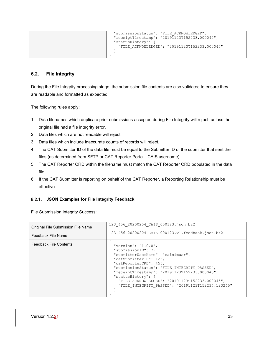| "submissionStatus": "FILE ACKNOWLEDGED",      |
|-----------------------------------------------|
| "receiptTimestamp": "20191123T152233.000045", |
| "statusHistory": {                            |
| "FILE ACKNOWLEDGED": "20191123T152233.000045" |
|                                               |
|                                               |

#### <span id="page-38-0"></span>**6.2. File Integrity**

During the File Integrity processing stage, the submission file contents are also validated to ensure they are readable and formatted as expected.

The following rules apply:

- 1. Data filenames which duplicate prior submissions accepted during File Integrity will reject, unless the original file had a file integrity error.
- 2. Data files which are not readable will reject.
- 3. Data files which include inaccurate counts of records will reject.
- 4. The CAT Submitter ID of the data file must be equal to the Submitter ID of the submitter that sent the files (as determined from SFTP or CAT Reporter Portal - CAIS username).
- 5. The CAT Reporter CRD within the filename must match the CAT Reporter CRD populated in the data file.
- 6. If the CAT Submitter is reporting on behalf of the CAT Reporter, a Reporting Relationship must be effective.

#### <span id="page-38-1"></span>**JSON Examples for File Integrity Feedback**

File Submission Integrity Success:

| Original File Submission File Name | 123 456 20200204 CAIS 000123.json.bz2                                                                                                                                                                                                                                                                                                                                |
|------------------------------------|----------------------------------------------------------------------------------------------------------------------------------------------------------------------------------------------------------------------------------------------------------------------------------------------------------------------------------------------------------------------|
| Feedback File Name                 | 123 456 20200204 CAIS 000123.v1.feedback.json.bz2                                                                                                                                                                                                                                                                                                                    |
| <b>Feedback File Contents</b>      | "version": " $1.0.0$ ",<br>"submissionID": 7,<br>"submitterUserName": "caisimusr",<br>"catSubmitterID": 123,<br>"catReporterCRD": 456,<br>"submissionStatus": "FILE INTEGRITY PASSED",<br>"receiptTimestamp": "20191123T152233.000045",<br>"statusHistory": {<br>"FILE ACKNOWLEDGED": "20191123T152233.000045",<br>"FILE INTEGRITY PASSED": "20191123T152234.123245" |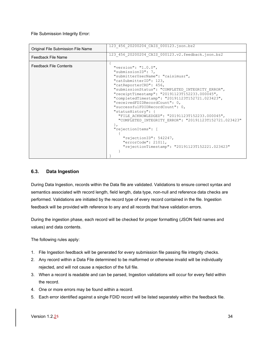File Submission Integrity Error:

| Original File Submission File Name | 123 456 20200204 CAIS 000123.json.bz2                                                                                                                                                                                                                                                                                                                                                                                                                                                                                                                                                                                     |
|------------------------------------|---------------------------------------------------------------------------------------------------------------------------------------------------------------------------------------------------------------------------------------------------------------------------------------------------------------------------------------------------------------------------------------------------------------------------------------------------------------------------------------------------------------------------------------------------------------------------------------------------------------------------|
| Feedback File Name                 | 123 456 20200204 CAIS 000123.v2.feedback.json.bz2                                                                                                                                                                                                                                                                                                                                                                                                                                                                                                                                                                         |
| <b>Feedback File Contents</b>      | "version": "1.0.0",<br>"submissionID": 7,<br>"submitterUserName": "caisimusr",<br>"catSubmitterID": 123,<br>"catReporterCRD": 456,<br>"submissionStatus": "COMPLETED INTEGRITY ERROR",<br>"receiptTimestamp": "20191123T152233.000045",<br>"completedTimestamp": "20191123T152721.023423",<br>"receivedFDIDRecordCount": 0,<br>"successfulFDIDRecordCount": 0,<br>"statusHistory": {<br>"FILE ACKNOWLEDGED": "20191123T152233.000045",<br>"COMPLETED INTEGRITY ERROR": "20191123T152721.023423"<br>"rejectionItems": [<br>"rejectionID": 542247,<br>"errorCode": 21011,<br>"rejectionTimestamp": "20191123T152221.023423" |

#### <span id="page-39-0"></span>**6.3. Data Ingestion**

During Data Ingestion, records within the Data file are validated. Validations to ensure correct syntax and semantics associated with record length, field length, data type, non-null and reference data checks are performed. Validations are initiated by the record type of every record contained in the file. Ingestion feedback will be provided with reference to any and all records that have validation errors.

During the ingestion phase, each record will be checked for proper formatting (JSON field names and values) and data contents.

The following rules apply:

- 1. File Ingestion feedback will be generated for every submission file passing file integrity checks.
- 2. Any record within a Data File determined to be malformed or otherwise invalid will be individually rejected, and will not cause a rejection of the full file.
- 3. When a record is readable and can be parsed, Ingestion validations will occur for every field within the record.
- 4. One or more errors may be found within a record.
- 5. Each error identified against a single FDID record will be listed separately within the feedback file.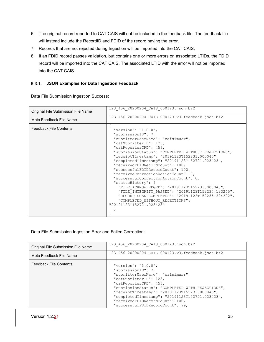- 6. The original record reported to CAT CAIS will not be included in the feedback file. The feedback file will instead include the RecordID and FDID of the record having the error.
- 7. Records that are not rejected during Ingestion will be imported into the CAT CAIS.
- 8. If an FDID record passes validation, but contains one or more errors on associated LTIDs, the FDID record will be imported into the CAT CAIS. The associated LTID with the error will not be imported into the CAT CAIS.

#### <span id="page-40-0"></span>**JSON Examples for Data Ingestion Feedback**

Data File Submission Ingestion Success:

|                                    | 123 456 20200204 CAIS 000123.json.bz2                                                                                                                                                                                                                                                                                                                                                                                                                                                                                                                                                                                                                                                                        |
|------------------------------------|--------------------------------------------------------------------------------------------------------------------------------------------------------------------------------------------------------------------------------------------------------------------------------------------------------------------------------------------------------------------------------------------------------------------------------------------------------------------------------------------------------------------------------------------------------------------------------------------------------------------------------------------------------------------------------------------------------------|
| Original File Submission File Name |                                                                                                                                                                                                                                                                                                                                                                                                                                                                                                                                                                                                                                                                                                              |
| Meta Feedback File Name            | 123 456 20200204 CAIS 000123.v3.feedback.json.bz2                                                                                                                                                                                                                                                                                                                                                                                                                                                                                                                                                                                                                                                            |
| <b>Feedback File Contents</b>      | "version": " $1.0.0$ ",<br>"submissionID": 7,<br>"submitterUserName": "caisimusr",<br>"catSubmitterID": 123,<br>"catReporterCRD": 456,<br>"submissionStatus": "COMPLETED WITHOUT REJECTIONS",<br>"receiptTimestamp": "20191123T152233.000045",<br>"completedTimestamp": "20191123T152721.023423",<br>"receivedFDIDRecordCount": 100,<br>"successfulFDIDRecordCount": 100,<br>"receivedCorrectionActionCount": 0,<br>"successfulCorrectionActionCount": 0,<br>"statusHistory": {<br>"FILE ACKNOWLEDGED": "20191123T152233.000045",<br>"FILE INTEGRITY PASSED": "20191123T152234.123245",<br>"RECORD SCAN COMPLETED": "20191123T152255.324392",<br>"COMPLETED WITHOUT REJECTIONS":<br>"20191123T152721.023423" |
|                                    |                                                                                                                                                                                                                                                                                                                                                                                                                                                                                                                                                                                                                                                                                                              |

Data File Submission Ingestion Error and Failed Correction:

| Original File Submission File Name | 123 456 20200204 CAIS 000123.json.bz2                                                                                                                                                                                                                                                                                                                             |
|------------------------------------|-------------------------------------------------------------------------------------------------------------------------------------------------------------------------------------------------------------------------------------------------------------------------------------------------------------------------------------------------------------------|
| Meta Feedback File Name            | 123 456 20200204 CAIS 000123.v3.feedback.json.bz2                                                                                                                                                                                                                                                                                                                 |
| <b>Feedback File Contents</b>      | "version": "1.0.0",<br>"submissionID": 7,<br>"submitterUserName": "caisimusr",<br>"catSubmitterID": 123,<br>"catReporterCRD": 456,<br>"submissionStatus": "COMPLETED WITH REJECTIONS",<br>"receiptTimestamp": "20191123T152233.000045",<br>"completedTimestamp": "20191123T152721.023423",<br>"receivedFDIDRecordCount": 100,<br>"successfulFDIDRecordCount": 99, |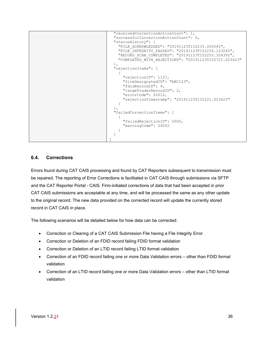```
 "receivedCorrectionActionCount": 1,
  "successfulCorrectionActionCount": 0,
  "statusHistory": {
    "FILE_ACKNOWLEDGED": "20191123T152233.000045",
    "FILE_INTEGRITY_PASSED": "20191123T152234.123245",
    "RECORD_SCAN_COMPLETED": "20191123T152255.324392",
    "COMPLETED WITH REJECTIONS": "20191123T152721.023423"
  }, 
  "rejectionItems": [
     {
       "rejectionID": 1127,
       "firmDesignatedID": "ABC123",
       "fdidRecordID": 4,
       "largeTraderRecordID": 2,
       "errorCode": 22012,
       "rejectionTimestamp": "20191123T152221.023423"
    }
 \frac{1}{2},
  "failedCorrectionItems": [
     {
       "failedRejectionID": 5000,
       "warningCode": 24002
     }
  ]
}
```
#### <span id="page-41-0"></span>**6.4. Corrections**

Errors found during CAT CAIS processing and found by CAT Reporters subsequent to transmission must be repaired. The reporting of Error Corrections is facilitated in CAT CAIS through submissions via SFTP and the CAT Reporter Portal - CAIS. Firm-initiated corrections of data that had been accepted in prior CAT CAIS submissions are acceptable at any time, and will be processed the same as any other update to the original record. The new data provided on the corrected record will update the currently stored record in CAT CAIS in place.

The following scenarios will be detailed below for how data can be corrected:

- Correction or Clearing of a CAT CAIS Submission File having a File Integrity Error
- Correction or Deletion of an FDID record failing FDID format validation
- Correction or Deletion of an LTID record failing LTID format validation
- Correction of an FDID record failing one or more Data Validation errors other than FDID format validation
- Correction of an LTID record failing one or more Data Validation errors other than LTID format validation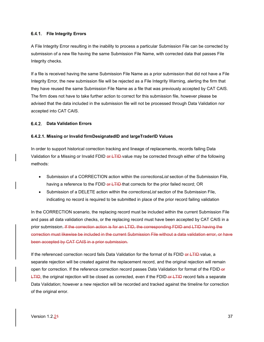#### <span id="page-42-0"></span>**File Integrity Errors**

A File Integrity Error resulting in the inability to process a particular Submission File can be corrected by submission of a new file having the same Submission File Name, with corrected data that passes File Integrity checks.

If a file is received having the same Submission File Name as a prior submission that did not have a File Integrity Error, the new submission file will be rejected as a File Integrity Warning, alerting the firm that they have reused the same Submission File Name as a file that was previously accepted by CAT CAIS. The firm does not have to take further action to correct for this submission file, however please be advised that the data included in the submission file will not be processed through Data Validation nor accepted into CAT CAIS.

#### <span id="page-42-1"></span>**Data Validation Errors**

#### **6.4.2.1. Missing or Invalid firmDesignatedID and largeTraderID Values**

In order to support historical correction tracking and lineage of replacements, records failing Data Validation for a Missing or Invalid FDID or LTID-value may be corrected through either of the following methods:

- Submission of a CORRECTION action within the *correctionsList* section of the Submission File, having a reference to the FDID or LTID-that corrects for the prior failed record; OR
- Submission of a DELETE action within the *correctionsList* section of the Submission File, indicating no record is required to be submitted in place of the prior record failing validation

In the CORRECTION scenario, the replacing record must be included within the current Submission File and pass all data validation checks, or the replacing record must have been accepted by CAT CAIS in a prior submission. If the correction action is for an LTID, the corresponding FDID and LTID having the correction must likewise be included in the current Submission File without a data validation error, or have been accepted by CAT CAIS in a prior submission.

If the referenced correction record fails Data Validation for the format of its FDID or LTID value, a separate rejection will be created against the replacement record, and the original rejection will remain open for correction. If the reference correction record passes Data Validation for format of the FDID-or  $LTHD$ , the original rejection will be closed as corrected, even if the FDID or  $LTHD$  record fails a separate Data Validation; however a new rejection will be recorded and tracked against the timeline for correction of the original error.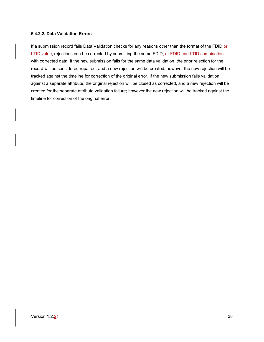#### **6.4.2.2. Data Validation Errors**

If a submission record fails Data Validation checks for any reasons other than the format of the FDID-or LTID value, rejections can be corrected by submitting the same FDID, or FDID and LTID combination, with corrected data. If the new submission fails for the same data validation, the prior rejection for the record will be considered repaired, and a new rejection will be created; however the new rejection will be tracked against the timeline for correction of the original error. If the new submission fails validation against a separate attribute, the original rejection will be closed as corrected, and a new rejection will be created for the separate attribute validation failure; however the new rejection will be tracked against the timeline for correction of the original error.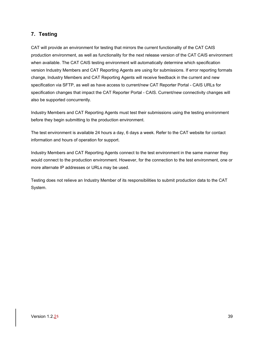# <span id="page-44-0"></span>**7. Testing**

CAT will provide an environment for testing that mirrors the current functionality of the CAT CAIS production environment, as well as functionality for the next release version of the CAT CAIS environment when available. The CAT CAIS testing environment will automatically determine which specification version Industry Members and CAT Reporting Agents are using for submissions. If error reporting formats change, Industry Members and CAT Reporting Agents will receive feedback in the current and new specification via SFTP, as well as have access to current/new CAT Reporter Portal - CAIS URLs for specification changes that impact the CAT Reporter Portal - CAIS. Current/new connectivity changes will also be supported concurrently.

Industry Members and CAT Reporting Agents must test their submissions using the testing environment before they begin submitting to the production environment.

The test environment is available 24 hours a day, 6 days a week. Refer to the CAT website for contact information and hours of operation for support.

Industry Members and CAT Reporting Agents connect to the test environment in the same manner they would connect to the production environment. However, for the connection to the test environment, one or more alternate IP addresses or URLs may be used.

Testing does not relieve an Industry Member of its responsibilities to submit production data to the CAT System.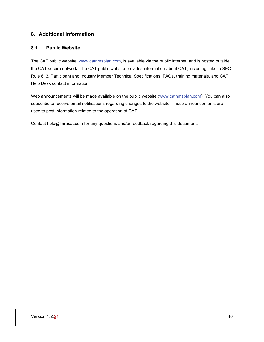# <span id="page-45-0"></span>**8. Additional Information**

#### <span id="page-45-1"></span>**8.1. Public Website**

The CAT public website, [www.catnmsplan.com,](https://www.catnmsplan.com/) is available via the public internet, and is hosted outside the CAT secure network. The CAT public website provides information about CAT, including links to SEC Rule 613, Participant and Industry Member Technical Specifications, FAQs, training materials, and CAT Help Desk contact information.

Web announcements will be made available on the public website [\(www.catnmsplan.com\)](https://www.catnmsplan.com/). You can also subscribe to receive email notifications regarding changes to the website. These announcements are used to post information related to the operation of CAT.

Contact help@finracat.com for any questions and/or feedback regarding this document.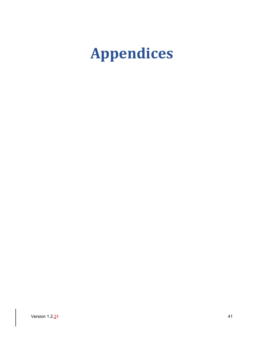# <span id="page-46-0"></span>**Appendices**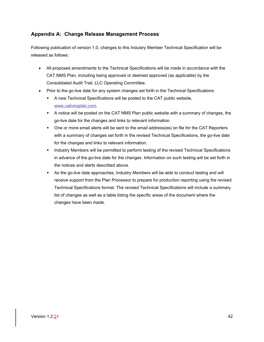# <span id="page-47-0"></span>**Appendix A: Change Release Management Process**

Following publication of version 1.0, changes to this Industry Member Technical Specification will be released as follows:

- All proposed amendments to the Technical Specifications will be made in accordance with the CAT NMS Plan, including being approved or deemed approved (as applicable) by the Consolidated Audit Trail, LLC Operating Committee.
- Prior to the go-live date for any system changes set forth in the Technical Specifications:
	- A new Technical Specifications will be posted to the CAT public website, [www.catnmsplan.com.](https://www.catnmsplan.com/)
	- A notice will be posted on the CAT NMS Plan public website with a summary of changes, the go-live date for the changes and links to relevant information.
	- One or more email alerts will be sent to the email address(es) on file for the CAT Reporters with a summary of changes set forth in the revised Technical Specifications, the go-live date for the changes and links to relevant information.
	- Industry Members will be permitted to perform testing of the revised Technical Specifications in advance of the go-live date for the changes. Information on such testing will be set forth in the notices and alerts described above.
	- As the go-live date approaches, Industry Members will be able to conduct testing and will receive support from the Plan Processor to prepare for production reporting using the revised Technical Specifications format. The revised Technical Specifications will include a summary list of changes as well as a table listing the specific areas of the document where the changes have been made.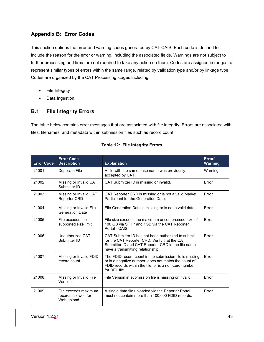# <span id="page-48-0"></span>**Appendix B: Error Codes**

This section defines the error and warning codes generated by CAT CAIS. Each code is defined to include the reason for the error or warning, including the associated fields. Warnings are not subject to further processing and firms are not required to take any action on them. Codes are assigned in ranges to represent similar types of errors within the same range, related by validation type and/or by linkage type. Codes are organized by the CAT Processing stages including:

- File Integrity
- Data Ingestion

# <span id="page-48-1"></span>**B.1 File Integrity Errors**

The table below contains error messages that are associated with file integrity. Errors are associated with files, filenames, and metadata within submission files such as record count.

| <b>Error Code</b> | <b>Error Code</b><br><b>Description</b>                   | <b>Explanation</b>                                                                                                                                                                             | Error/<br><b>Warning</b> |
|-------------------|-----------------------------------------------------------|------------------------------------------------------------------------------------------------------------------------------------------------------------------------------------------------|--------------------------|
| 21001             | Duplicate File                                            | A file with the same base name was previously<br>accepted by CAT.                                                                                                                              | Warning                  |
| 21002             | Missing or Invalid CAT<br>Submitter ID                    | CAT Submitter ID is missing or invalid.                                                                                                                                                        | Error                    |
| 21003             | Missing or Invalid CAT<br><b>Reporter CRD</b>             | CAT Reporter CRD is missing or is not a valid Market<br>Participant for the Generation Date.                                                                                                   | Error                    |
| 21004             | Missing or Invalid File<br><b>Generation Date</b>         | File Generation Date is missing or is not a valid date.                                                                                                                                        | Error                    |
| 21005             | File exceeds the<br>supported size limit                  | File size exceeds the maximum uncompressed size of<br>100 GB via SFTP and 1GB via the CAT Reporter<br>Portal - CAIS.                                                                           | Error                    |
| 21006             | Unauthorized CAT<br>Submitter ID                          | CAT Submitter ID has not been authorized to submit<br>for the CAT Reporter CRD. Verify that the CAT<br>Submitter ID and CAT Reporter CRD in the file name<br>have a transmitting relationship. | Frror                    |
| 21007             | Missing or Invalid FDID<br>record count                   | The FDID record count in the submission file is missing<br>or is a negative number, does not match the count of<br>FDID records within the file, or is a non-zero number<br>for DFI file.      | Error                    |
| 21008             | Missing or Invalid File<br>Version                        | File Version in submission file is missing or invalid.                                                                                                                                         | Error                    |
| 21009             | File exceeds maximum<br>records allowed for<br>Web upload | A single data file uploaded via the Reporter Portal<br>must not contain more than 100,000 FDID records.                                                                                        | Error                    |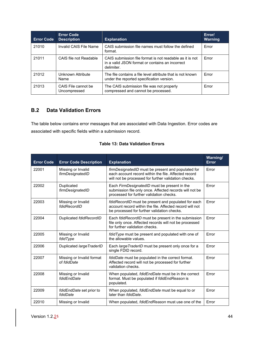| <b>Error Code</b> | <b>Error Code</b><br><b>Description</b> | <b>Explanation</b>                                                                                                        | Error/<br><b>Warning</b> |
|-------------------|-----------------------------------------|---------------------------------------------------------------------------------------------------------------------------|--------------------------|
| 21010             | Invalid CAIS File Name                  | CAIS submission file names must follow the defined<br>format.                                                             | Error                    |
| 21011             | CAIS file not Readable                  | CAIS submission file format is not readable as it is not<br>in a valid JSON format or contains an incorrect<br>delimiter. | Error                    |
| 21012             | Unknown Attribute<br>Name               | The file contains a file level attribute that is not known<br>under the reported specification version.                   | Error                    |
| 21013             | CAIS File cannot be<br>Uncompressed     | The CAIS submission file was not properly<br>compressed and cannot be processed.                                          | Error                    |

# <span id="page-49-0"></span>**B.2 Data Validation Errors**

The table below contains error messages that are associated with Data Ingestion. Error codes are associated with specific fields within a submission record.

| <b>Error Code</b> | <b>Error Code Description</b>            | <b>Explanation</b>                                                                                                                                                 | Warning/<br><b>Error</b> |
|-------------------|------------------------------------------|--------------------------------------------------------------------------------------------------------------------------------------------------------------------|--------------------------|
| 22001             | Missing or Invalid<br>firmDesignatedID   | firmDesignatedID must be present and populated for<br>each account record within the file. Affected record<br>will not be processed for further validation checks. | Error                    |
| 22002             | Duplicated<br>firmDesignatedID           | Each FirmDesignatedID must be present in the<br>submission file only once. Affected records will not be<br>processed for further validation checks.                | Error                    |
| 22003             | Missing or Invalid<br>fdidRecordID       | fdidRecordID must be present and populated for each<br>account record within the file. Affected record will not<br>be processed for further validation checks.     | Error                    |
| 22004             | Duplicated fdidRecordID                  | Each fdidRecordID must be present in the submission<br>file only once. Affected records will not be processed<br>for further validation checks.                    | Error                    |
| 22005             | Missing or Invalid<br>fdidType           | fdidType must be present and populated with one of<br>the allowable values.                                                                                        | Frror                    |
| 22006             | Duplicated large TraderID                | Each large TraderID must be present only once for a<br>single FDID record.                                                                                         | Error                    |
| 22007             | Missing or Invalid format<br>of fdidDate | fdidDate must be populated in the correct format.<br>Affected record will not be processed for further<br>validation checks.                                       | <b>Frror</b>             |
| 22008             | Missing or Invalid<br>fdidEndDate        | When populated, fdidEndDate must be in the correct<br>format. Must be populated if fdidEndReason is<br>populated.                                                  | Error                    |
| 22009             | fdidEndDate set prior to<br>fdidDate     | When populated, fdidEndDate must be equal to or<br>later than <i>fdidDate</i> .                                                                                    | Error                    |
| 22010             | Missing or Invalid                       | When populated, <i>fdidEndReason</i> must use one of the                                                                                                           | Error                    |

#### **Table 13: Data Validation Errors**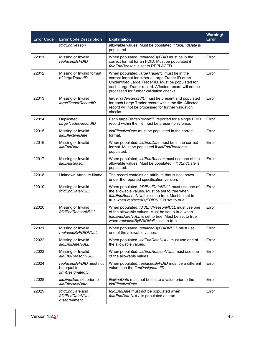| <b>Error Code</b> | <b>Error Code Description</b>                              | <b>Explanation</b>                                                                                                                                                                                                                                             | Warning/<br><b>Error</b> |
|-------------------|------------------------------------------------------------|----------------------------------------------------------------------------------------------------------------------------------------------------------------------------------------------------------------------------------------------------------------|--------------------------|
|                   | fdidEndReason                                              | allowable values. Must be populated if fdidEndDate is<br>populated.                                                                                                                                                                                            |                          |
| 22011             | Missing or Invalid<br>replacedByFDID                       | When populated, replacedByFDID must be in the<br>correct format for an FDID. Must be populated if<br>fdidEndReason is set to REPLACED.                                                                                                                         | Error                    |
| 22012             | Missing or Invalid format<br>of large TraderID             | When populated, large TraderID must be in the<br>correct format for either a Large Trader ID or an<br>Unidentified Large Trader ID. Must be populated for<br>each Large Trader record. Affected record will not be<br>processed for further validation checks. | Error                    |
| 22013             | Missing or Invalid<br>largeTraderRecordID                  | large TraderRecordID must be present and populated<br>for each Large Trader record within the file. Affected<br>record will not be processed for further validation<br>checks.                                                                                 | Error                    |
| 22014             | Duplicated<br>largeTraderRecordID                          | Each large Trader RecordID reported for a single FDID<br>record within the file must be present only once.                                                                                                                                                     | Error                    |
| 22015             | Missing or Invalid<br><b>ItidEffectiveDate</b>             | ItidEffectiveDate must be populated in the correct<br>format.                                                                                                                                                                                                  | Error                    |
| 22016             | Missing or Invalid<br><b>ItidEndDate</b>                   | When populated, <i>ItidEndDate</i> must be in the correct<br>format. Must be populated if ItidEndReason is<br>populated.                                                                                                                                       | Error                    |
| 22017             | Missing or Invalid<br><b>ItidEndReason</b>                 | When populated, <i>ItidEndReason</i> must use one of the<br>allowable values. Must be populated if <i>ItidEndDate</i> is<br>populated.                                                                                                                         | Error                    |
| 22018             | Unknown Attribute Name                                     | The record contains an attribute that is not known<br>under the reported specification version.                                                                                                                                                                | Error                    |
| 22019             | Missing or Invalid<br>fdidEndDateNULL                      | When populated, fdidEndDateNULL must use one of<br>the allowable values. Must be set to true when<br>fdidEndReasonNULL is set to true. Must be set to<br>true when replacedByFDIDNull is set to true.                                                          | Error                    |
| 22020             | Missing or Invalid<br>fdidEndReasonNULL                    | When populated, fdidEndReasonNULL must use one<br>of the allowable values. Must be set to true when<br>fdidEndDateNULL is set to true. Must be set to true<br>when replacedByFDIDNull is set to true.                                                          | Error                    |
| 22021             | Missing or Invalid<br>replacedByFDIDNULL                   | When populated, replacedByFDIDNULL must use<br>one of the allowable values.                                                                                                                                                                                    | Error                    |
| 22022             | Missing or Invalid<br><b>ItidEndDateNULL</b>               | When populated, ItidEndDateNULL must use one of<br>the allowable values.                                                                                                                                                                                       | Error                    |
| 22023             | Missing or Invalid<br><b>ItidEndReasonNULL</b>             | When populated, ItidEndReasonNULL must use one<br>of the allowable values.                                                                                                                                                                                     | Error                    |
| 22024             | replacedByFDID must not<br>be equal to<br>firmDesignatedID | When populated, replacedByFDID must be a different<br>value than the firmDesignatedID.                                                                                                                                                                         | Error                    |
| 22028             | ItidEndDate set prior to<br><b>ItidEffectiveDate</b>       | <i>ItidEndDate</i> must not be set to a value prior to the<br>ItidEffectiveDate.                                                                                                                                                                               | Error                    |
| 22029             | fdidEndDate and<br>fdidEndDateNULL<br>disagreement         | fdidEndDate must not be populated when<br>fdidEndDateNULL is populated as true.                                                                                                                                                                                | Error                    |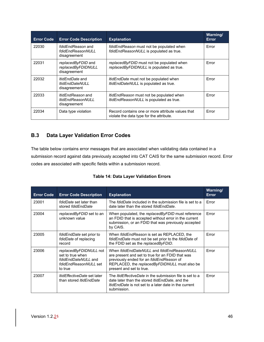| <b>Error Code</b> | <b>Error Code Description</b>                                    | <b>Explanation</b>                                                                            | Warning/<br><b>Error</b> |
|-------------------|------------------------------------------------------------------|-----------------------------------------------------------------------------------------------|--------------------------|
| 22030             | fdidEndReason and<br>fdidEndReasonNULL<br>disagreement           | fdidEndReason must not be populated when<br>fdidEndReasonNULL is populated as true.           | Error                    |
| 22031             | replacedByFDID and<br>replacedByFDIDNULL<br>disagreement         | replacedByFDID must not be populated when<br>replacedByFDIDNULL is populated as true.         | Error                    |
| 22032             | <i>ItidEndDate</i> and<br><b>ItidEndDateNULL</b><br>disagreement | <i>ItidEndDate</i> must not be populated when<br>ItidEndDateNULL is populated as true.        | Error                    |
| 22033             | <i>ItidEndReason</i> and<br>ltidEndReasonNULL<br>disagreement    | <i>ItidEndReason</i> must not be populated when<br>ItidEndReasonNULL is populated as true.    | Error                    |
| 22034             | Data type violation                                              | Record contains one or more attribute values that<br>violate the data type for the attribute. | Error                    |

# <span id="page-51-0"></span>**B.3 Data Layer Validation Error Codes**

The table below contains error messages that are associated when validating data contained in a submission record against data previously accepted into CAT CAIS for the same submission record. Error codes are associated with specific fields within a submission record.

|  |  |  |  | <b>Table 14: Data Layer Validation Errors</b> |  |
|--|--|--|--|-----------------------------------------------|--|
|--|--|--|--|-----------------------------------------------|--|

| <b>Error Code</b> | <b>Error Code Description</b>                                                                         | <b>Explanation</b>                                                                                                                                                                                                      | Warning/<br>Error |
|-------------------|-------------------------------------------------------------------------------------------------------|-------------------------------------------------------------------------------------------------------------------------------------------------------------------------------------------------------------------------|-------------------|
| 23001             | fdidDate set later than<br>stored fdidEndDate                                                         | The <i>fdidDate</i> included in the submission file is set to a<br>date later than the stored fdidEndDate.                                                                                                              | Error             |
| 23004             | replacedByFDID set to an<br>unknown value                                                             | When populated, the replacedByFDID must reference<br>an FDID that is accepted without error in the current<br>submission, or an FDID that was previously accepted<br>by CAIS.                                           | Error             |
| 23005             | <i>fdidEndDate</i> set prior to<br>fdidDate of replacing<br>record                                    | When <i>fdidEndReason</i> is set as REPLACED, the<br>fdidEndDate must not be set prior to the fdidDate of<br>the FDID set as the replacedByFDID.                                                                        | Error             |
| 23006             | replacedByFDIDNULL not<br>set to true when<br>fdidEndDateNULL and<br>fdidEndReasonNULL set<br>to true | When fdidEndDateNULL and fdidEndReasonNULL<br>are present and set to true for an FDID that was<br>previously ended for an fdidEndReason of<br>REPLACED, the replacedByFDIDNULL must also be<br>present and set to true. | Error             |
| 23007             | <i>ItidEffectiveDate</i> set later<br>than stored <i>ItidEndDate</i>                                  | The <i>ItidEffectiveDate</i> in the submission file is set to a<br>date later than the stored <i>ItidEndDate</i> , and the<br><i>ItidEndDate</i> is not set to a later date in the current<br>submission.               | Error             |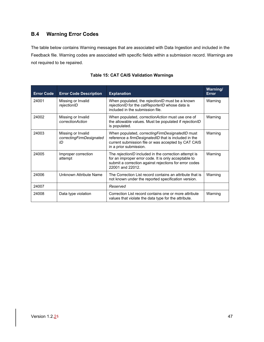# <span id="page-52-0"></span>**B.4 Warning Error Codes**

The table below contains Warning messages that are associated with Data Ingestion and included in the Feedback file. Warning codes are associated with specific fields within a submission record. Warnings are not required to be repaired.

| <b>Error Code</b> | <b>Error Code Description</b>                        | <b>Explanation</b>                                                                                                                                                                          | <b>Warning/</b><br>Error |
|-------------------|------------------------------------------------------|---------------------------------------------------------------------------------------------------------------------------------------------------------------------------------------------|--------------------------|
| 24001             | Missing or Invalid<br>rejectionID                    | When populated, the rejectionID must be a known<br>rejectionID for the catReporterID whose data is<br>included in the submission file.                                                      | Warning                  |
| 24002             | Missing or Invalid<br>correctionAction               | When populated, <i>correctionAction</i> must use one of<br>the allowable values. Must be populated if rejectionID<br>is populated.                                                          | Warning                  |
| 24003             | Missing or Invalid<br>correctingFirmDesignated<br>ID | When populated, correcting Firm Designated ID must<br>reference a firmDesignatedID that is included in the<br>current submission file or was accepted by CAT CAIS<br>in a prior submission. | Warning                  |
| 24005             | Improper correction<br>attempt                       | The rejectionID included in the correction attempt is<br>for an improper error code. It is only acceptable to<br>submit a correction against rejections for error codes<br>22001 and 22012. | Warning                  |
| 24006             | Unknown Attribute Name                               | The Correction List record contains an attribute that is<br>not known under the reported specification version.                                                                             | Warning                  |
| 24007             |                                                      | Reserved                                                                                                                                                                                    |                          |
| 24008             | Data type violation                                  | Correction List record contains one or more attribute<br>values that violate the data type for the attribute.                                                                               | Warning                  |

#### **Table 15: CAT CAIS Validation Warnings**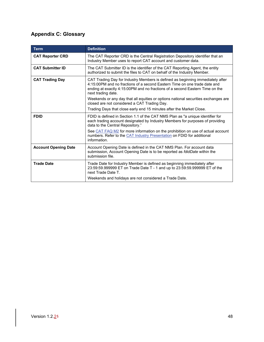# <span id="page-53-0"></span>**Appendix C: Glossary**

| <b>Term</b>                 | <b>Definition</b>                                                                                                                                                                                                                                                 |
|-----------------------------|-------------------------------------------------------------------------------------------------------------------------------------------------------------------------------------------------------------------------------------------------------------------|
| <b>CAT Reporter CRD</b>     | The CAT Reporter CRD is the Central Registration Depository identifier that an<br>Industry Member uses to report CAT account and customer data.                                                                                                                   |
| <b>CAT Submitter ID</b>     | The CAT Submitter ID is the identifier of the CAT Reporting Agent, the entity<br>authorized to submit the files to CAT on behalf of the Industry Member.                                                                                                          |
| <b>CAT Trading Day</b>      | CAT Trading Day for Industry Members is defined as beginning immediately after<br>4:15:00PM and no fractions of a second Eastern Time on one trade date and<br>ending at exactly 4:15:00PM and no fractions of a second Eastern Time on the<br>next trading date. |
|                             | Weekends or any day that all equities or options national securities exchanges are<br>closed are not considered a CAT Trading Day.                                                                                                                                |
|                             | Trading Days that close early end 15 minutes after the Market Close.                                                                                                                                                                                              |
| <b>FDID</b>                 | FDID is defined in Section 1.1 of the CAT NMS Plan as "a unique identifier for<br>each trading account designated by Industry Members for purposes of providing<br>data to the Central Repository."                                                               |
|                             | See CAT FAQ M2 for more information on the prohibition on use of actual account<br>numbers. Refer to the CAT Industry Presentation on FDID for additional<br>information.                                                                                         |
| <b>Account Opening Date</b> | Account Opening Date is defined in the CAT NMS Plan. For account data<br>submission, Account Opening Date is to be reported as <i>fdidDate</i> within the<br>submission file.                                                                                     |
| <b>Trade Date</b>           | Trade Date for Industry Member is defined as beginning immediately after<br>23:59:59.999999 ET on Trade Date T - 1 and up to 23:59:59.999999 ET of the<br>next Trade Date T.                                                                                      |
|                             | Weekends and holidays are not considered a Trade Date.                                                                                                                                                                                                            |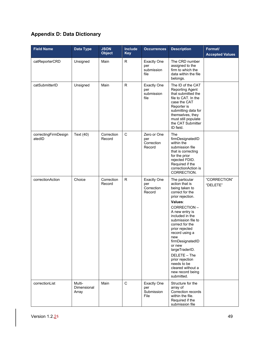# <span id="page-54-0"></span>**Appendix D: Data Dictionary**

| <b>Field Name</b>              | <b>Data Type</b>               | <b>JSON</b><br><b>Object</b> | Include<br><b>Key</b> | <b>Occurrences</b>                                | <b>Description</b>                                                                                                                                                                                                                                                                                                                                                                                    | Format/<br><b>Accepted Values</b> |
|--------------------------------|--------------------------------|------------------------------|-----------------------|---------------------------------------------------|-------------------------------------------------------------------------------------------------------------------------------------------------------------------------------------------------------------------------------------------------------------------------------------------------------------------------------------------------------------------------------------------------------|-----------------------------------|
| catReporterCRD                 | Unsigned                       | Main                         | R                     | <b>Exactly One</b><br>per<br>submission<br>file   | The CRD number<br>assigned to the<br>firm to which the<br>data within the file<br>belongs.                                                                                                                                                                                                                                                                                                            |                                   |
| catSubmitterID                 | Unsigned                       | Main                         | $\mathsf{R}$          | <b>Exactly One</b><br>per<br>submission<br>file   | The ID of the CAT<br>Reporting Agent<br>that submitted the<br>file to CAT. In the<br>case the CAT<br>Reporter is<br>submitting data for<br>themselves, they<br>must still populate<br>the CAT Submitter<br>ID field.                                                                                                                                                                                  |                                   |
| correctingFirmDesign<br>atedID | Text (40)                      | Correction<br>Record         | $\mathsf C$           | Zero or One<br>per<br>Correction<br>Record        | The<br>firmDesignatedID<br>within the<br>submission file<br>that is correcting<br>for the prior<br>rejected FDID.<br>Required if the<br>correction Action is<br>CORRECTION.                                                                                                                                                                                                                           |                                   |
| correctionAction               | Choice                         | Correction<br>Record         | $\mathsf R$           | <b>Exactly One</b><br>per<br>Correction<br>Record | The particular<br>action that is<br>being taken to<br>correct for the<br>prior rejection.<br>Values:<br>CORRECTION-<br>A new entry is<br>included in the<br>submission file to<br>correct for the<br>prior rejected<br>record using a<br>new<br>firmDesignatedID<br>or new<br>largeTraderID.<br>DELETE - The<br>prior rejection<br>needs to be<br>cleared without a<br>new record being<br>submitted. | "CORRECTION"<br>"DELETE"          |
| correctionList                 | Multi-<br>Dimensional<br>Array | Main                         | $\mathbf C$           | <b>Exactly One</b><br>per<br>Submission<br>File   | Structure for the<br>array of<br>Correction records<br>within the file.<br>Required if the<br>submission file                                                                                                                                                                                                                                                                                         |                                   |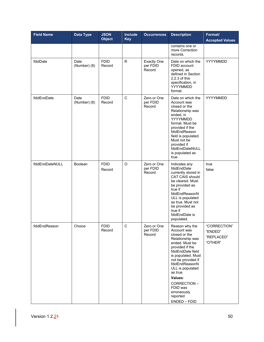| <b>Field Name</b> | Data Type            | <b>JSON</b><br><b>Object</b> | <b>Include</b><br><b>Key</b> | <b>Occurrences</b>                       | <b>Description</b>                                                                                                                                                                                                                                                                                          | Format/<br><b>Accepted Values</b>                |
|-------------------|----------------------|------------------------------|------------------------------|------------------------------------------|-------------------------------------------------------------------------------------------------------------------------------------------------------------------------------------------------------------------------------------------------------------------------------------------------------------|--------------------------------------------------|
|                   |                      |                              |                              |                                          | contains one or<br>more Correction<br>records.                                                                                                                                                                                                                                                              |                                                  |
| fdidDate          | Date<br>(Number) (8) | <b>FDID</b><br>Record        | R.                           | <b>Exactly One</b><br>per FDID<br>Record | Date on which the<br>FDID account<br>opened, as<br>defined in Section<br>2.2.3 of this<br>specification, in<br>YYYYMMDD<br>format.                                                                                                                                                                          | YYYYMMDD                                         |
| fdidEndDate       | Date<br>(Number) (8) | <b>FDID</b><br>Record        | $\mathsf{C}$                 | Zero or One<br>per FDID<br>Record        | Date on which the<br>Account was<br>closed or the<br>Relationship was<br>ended, in<br>YYYYMMDD<br>format. Must be<br>provided if the<br>fdidEndReason<br>field is populated.<br>Must not be<br>provided if<br>fdidEndDateNULL<br>is populated as<br>true.                                                   | YYYYMMDD                                         |
| fdidEndDateNULL   | Boolean              | <b>FDID</b><br>Record        | $\circ$                      | Zero or One<br>per FDID<br>Record        | Indicates any<br>fdidEndDate<br>currently stored in<br>CAT CAIS should<br>be cleared. Must<br>be provided as<br>true if<br>fdidEndReasonN<br>ULL is populated<br>as true. Must not<br>be provided as<br>true if<br>fdidEndDate is<br>populated.                                                             | true<br>false                                    |
| fdidEndReason     | Choice               | <b>FDID</b><br>Record        | C                            | Zero or One<br>per FDID<br>Record        | Reason why the<br>Account was<br>closed or the<br>Relationship was<br>ended. Must be<br>provided if the<br>fdidEndDate field<br>is populated. Must<br>not be provided if<br>fdidEndReasonN<br>ULL is populated<br>as true.<br>Values:<br>CORRECTION-<br>FDID was<br>erroneously<br>reported<br>ENDED - FDID | "CORRECTION"<br>"ENDED"<br>"REPLACED"<br>"OTHER" |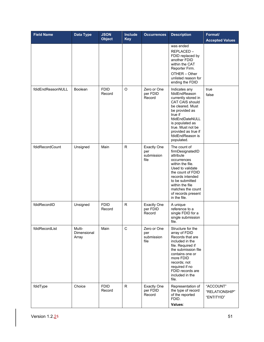| <b>Field Name</b> | <b>Data Type</b>                      | <b>JSON</b><br><b>Object</b> | Include<br><b>Key</b> | <b>Occurrences</b>                              | <b>Description</b>                                                                                                                                                                                                                                   | Format/<br><b>Accepted Values</b>         |
|-------------------|---------------------------------------|------------------------------|-----------------------|-------------------------------------------------|------------------------------------------------------------------------------------------------------------------------------------------------------------------------------------------------------------------------------------------------------|-------------------------------------------|
|                   |                                       |                              |                       |                                                 | was ended<br>REPLACED-<br>FDID replaced by<br>another FDID<br>within the CAT<br>Reporter Firm.<br>OTHER - Other<br>unlisted reason for<br>ending the FDID                                                                                            |                                           |
| fdidEndReasonNULL | <b>Boolean</b>                        | <b>FDID</b><br>Record        | O                     | Zero or One<br>per FDID<br>Record               | Indicates any<br>fdidEndReason<br>currently stored in<br><b>CAT CAIS should</b><br>be cleared. Must<br>be provided as<br>true if<br>fdidEndDateNULL<br>is populated as<br>true. Must not be<br>provided as true if<br>fdidEndReason is<br>populated. | true<br>false                             |
| fdidRecordCount   | Unsigned                              | Main                         | $\mathsf{R}$          | <b>Exactly One</b><br>per<br>submission<br>file | The count of<br>firmDesignatedID<br>attribute<br>occurrences<br>within the file.<br>Used to validate<br>the count of FDID<br>records intended<br>to be submitted<br>within the file<br>matches the count<br>of records present<br>in the file.       |                                           |
| fdidRecordID      | Unsigned                              | <b>FDID</b><br>Record        | R.                    | <b>Exactly One</b><br>per FDID<br>Record        | A unique<br>reference to a<br>single FDID for a<br>single submission<br>file.                                                                                                                                                                        |                                           |
| fdidRecordList    | Multi-<br><b>Dimensional</b><br>Array | Main                         | $\mathsf C$           | Zero or One<br>per<br>submission<br>file        | Structure for the<br>array of FDID<br>Records that are<br>included in the<br>file. Required if<br>the submission file<br>contains one or<br>more FDID<br>records; not<br>required if no<br>FDID records are<br>included in the<br>file.              |                                           |
| fdidType          | Choice                                | <b>FDID</b><br>Record        | R                     | <b>Exactly One</b><br>per FDID<br>Record        | Representation of<br>the type of record<br>of the reported<br>FDID.<br>Values:                                                                                                                                                                       | "ACCOUNT"<br>"RELATIONSHIP"<br>"ENTITYID" |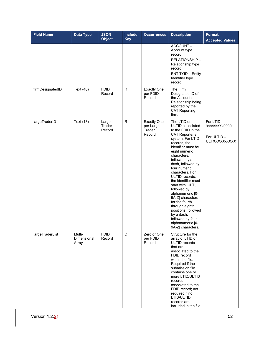| <b>Field Name</b> | Data Type                      | <b>JSON</b><br><b>Object</b> | <b>Include</b><br><b>Key</b> | <b>Occurrences</b>                                  | <b>Description</b>                                                                                                                                                                                                                                                                                                                                                                                                                                                                                           | Format/<br><b>Accepted Values</b>                          |
|-------------------|--------------------------------|------------------------------|------------------------------|-----------------------------------------------------|--------------------------------------------------------------------------------------------------------------------------------------------------------------------------------------------------------------------------------------------------------------------------------------------------------------------------------------------------------------------------------------------------------------------------------------------------------------------------------------------------------------|------------------------------------------------------------|
|                   |                                |                              |                              |                                                     | ACCOUNT-<br>Account type<br>record<br>RELATIONSHIP-<br>Relationship type<br>record<br><b>ENTITYID - Entity</b><br>Identifier type<br>record                                                                                                                                                                                                                                                                                                                                                                  |                                                            |
| firmDesignatedID  | Text (40)                      | <b>FDID</b><br>Record        | $\mathsf R$                  | <b>Exactly One</b><br>per FDID<br>Record            | The Firm<br>Designated ID of<br>the Account or<br>Relationship being<br>reported by the<br><b>CAT Reporting</b><br>firm.                                                                                                                                                                                                                                                                                                                                                                                     |                                                            |
| largeTraderID     | Text (13)                      | Large<br>Trader<br>Record    | $\mathsf{R}$                 | <b>Exactly One</b><br>per Large<br>Trader<br>Record | The LTID or<br>ULTID associated<br>to the FDID in the<br><b>CAT Reporter's</b><br>system. For LTID<br>records, the<br>identifier must be<br>eight numeric<br>characters,<br>followed by a<br>dash, followed by<br>four numeric<br>characters. For<br>ULTID records,<br>the identifier must<br>start with 'ULT',<br>followed by<br>alphanumeric [0-<br>9A-Z] characters<br>for the fourth<br>through eighth<br>positions, followed<br>by a dash,<br>followed by four<br>alphanumeric [0-<br>9A-Z] characters. | For LTID-<br>99999999-9999<br>For ULTID -<br>ULTXXXXX-XXXX |
| largeTraderList   | Multi-<br>Dimensional<br>Array | <b>FDID</b><br>Record        | $\mathbf C$                  | Zero or One<br>per FDID<br>Record                   | Structure for the<br>array of LTID or<br>ULTID records<br>that are<br>associated to the<br>FDID record<br>within the file.<br>Required if the<br>submission file<br>contains one or<br>more LTID/ULTID<br>records<br>associated to the<br>FDID record; not<br>required if no<br>LTID/ULTID<br>records are<br>included in the file                                                                                                                                                                            |                                                            |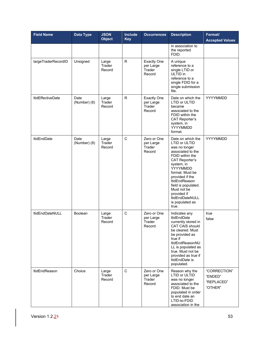| <b>Field Name</b>        | <b>Data Type</b>     | <b>JSON</b><br><b>Object</b> | <b>Include</b><br><b>Key</b> | <b>Occurrences</b>                                  | <b>Description</b>                                                                                                                                                                                                                                                                                                             | Format/<br><b>Accepted Values</b>                |
|--------------------------|----------------------|------------------------------|------------------------------|-----------------------------------------------------|--------------------------------------------------------------------------------------------------------------------------------------------------------------------------------------------------------------------------------------------------------------------------------------------------------------------------------|--------------------------------------------------|
|                          |                      |                              |                              |                                                     | in association to<br>the reported<br>FDID.                                                                                                                                                                                                                                                                                     |                                                  |
| largeTraderRecordID      | Unsigned             | Large<br>Trader<br>Record    | R.                           | <b>Exactly One</b><br>per Large<br>Trader<br>Record | A unique<br>reference to a<br>single LTID or<br>ULTID in<br>reference to a<br>single FDID for a<br>single submission<br>file.                                                                                                                                                                                                  |                                                  |
| <b>ItidEffectiveDate</b> | Date<br>(Number) (8) | Large<br>Trader<br>Record    | R.                           | <b>Exactly One</b><br>per Large<br>Trader<br>Record | Date on which the<br><b>LTID or ULTID</b><br>became<br>associated to the<br>FDID within the<br><b>CAT Reporter's</b><br>system, in<br>YYYYMMDD<br>format.                                                                                                                                                                      | YYYYMMDD                                         |
| <b>ItidEndDate</b>       | Date<br>(Number) (8) | Large<br>Trader<br>Record    | C                            | Zero or One<br>per Large<br>Trader<br>Record        | Date on which the<br><b>LTID or ULTID</b><br>was no longer<br>associated to the<br>FDID within the<br><b>CAT Reporter's</b><br>system, in<br>YYYYMMDD<br>format. Must be<br>provided if the<br><b>ItidEndReason</b><br>field is populated.<br>Must not be<br>provided if<br><b>ItidEndDateNULL</b><br>is populated as<br>true. | YYYYMMDD                                         |
| <b>ItidEndDateNULL</b>   | <b>Boolean</b>       | Large<br>Trader<br>Record    | C                            | Zero or One<br>per Large<br>Trader<br>Record        | Indicates any<br><b>ItidEndDate</b><br>currently stored in<br><b>CAT CAIS should</b><br>be cleared. Must<br>be provided as<br>true if<br>ItidEndReasonNU<br>LL is populated as<br>true. Must not be<br>provided as true if<br>ItidEndDate is<br>populated.                                                                     | true<br>false                                    |
| <b>ItidEndReason</b>     | Choice               | Large<br>Trader<br>Record    | C                            | Zero or One<br>per Large<br>Trader<br>Record        | Reason why the<br>LTID or ULTID<br>was no longer<br>associated to the<br>FDID. Must be<br>populated in order<br>to end date an<br>LTID-to-FDID<br>association in the                                                                                                                                                           | "CORRECTION"<br>"ENDED"<br>"REPLACED"<br>"OTHER" |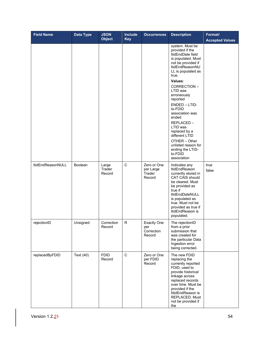| <b>Field Name</b>        | Data Type      | <b>JSON</b><br><b>Object</b> | <b>Include</b><br><b>Key</b> | <b>Occurrences</b>                                | <b>Description</b>                                                                                                                                                                                                                                                                                                                                                                                                               | Format/<br><b>Accepted Values</b> |
|--------------------------|----------------|------------------------------|------------------------------|---------------------------------------------------|----------------------------------------------------------------------------------------------------------------------------------------------------------------------------------------------------------------------------------------------------------------------------------------------------------------------------------------------------------------------------------------------------------------------------------|-----------------------------------|
|                          |                |                              |                              |                                                   | system. Must be<br>provided if the<br>ItidEndDate field<br>is populated. Must<br>not be provided if<br>ItidEndReasonNU<br>LL is populated as<br>true.<br>Values:<br>CORRECTION-<br>LTID was<br>erroneously<br>reported<br>ENDED - LTID-<br>to-FDID<br>association was<br>ended<br>REPLACED-<br>LTID was<br>replaced by a<br>different LTID<br>OTHER - Other<br>unlisted reason for<br>ending the LTID-<br>to-FDID<br>association |                                   |
| <b>ItidEndReasonNULL</b> | <b>Boolean</b> | Large<br>Trader<br>Record    | $\mathsf{C}$                 | Zero or One<br>per Large<br>Trader<br>Record      | Indicates any<br>ItidEndReason<br>currently stored in<br><b>CAT CAIS should</b><br>be cleared. Must<br>be provided as<br>true if<br>ItidEndDateNULL<br>is populated as<br>true. Must not be<br>provided as true if<br>ItidEndReason is<br>populated.                                                                                                                                                                             | true<br>false                     |
| rejectionID              | Unsigned       | Correction<br>Record         | R                            | <b>Exactly One</b><br>per<br>Correction<br>Record | The rejectionID<br>from a prior<br>submission that<br>was created for<br>the particular Data<br>Ingestion error<br>being corrected.                                                                                                                                                                                                                                                                                              |                                   |
| replacedByFDID           | Text (40)      | <b>FDID</b><br>Record        | $\mathbf C$                  | Zero or One<br>per FDID<br>Record                 | The new FDID<br>replacing the<br>currently reported<br>FDID, used to<br>provide historical<br>linkage across<br>replaced records<br>over time. Must be<br>provided if the<br>fdidEndReason is<br>REPLACED. Must<br>not be provided if<br>the                                                                                                                                                                                     |                                   |